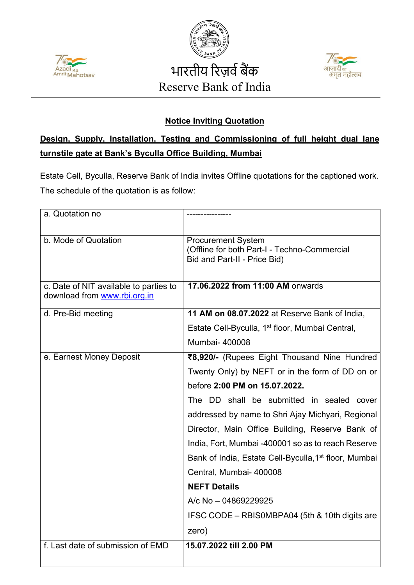





## **Notice Inviting Quotation**

## **Design, Supply, Installation, Testing and Commissioning of full height dual lane turnstile gate at Bank's Byculla Office Building, Mumbai**

Estate Cell, Byculla, Reserve Bank of India invites Offline quotations for the captioned work. The schedule of the quotation is as follow:

| a. Quotation no                                                        |                                                                                                           |
|------------------------------------------------------------------------|-----------------------------------------------------------------------------------------------------------|
| b. Mode of Quotation                                                   | <b>Procurement System</b><br>(Offline for both Part-I - Techno-Commercial<br>Bid and Part-II - Price Bid) |
| c. Date of NIT available to parties to<br>download from www.rbi.org.in | 17.06.2022 from 11:00 AM onwards                                                                          |
| d. Pre-Bid meeting                                                     | 11 AM on 08.07.2022 at Reserve Bank of India,                                                             |
|                                                                        | Estate Cell-Byculla, 1 <sup>st</sup> floor, Mumbai Central,                                               |
|                                                                        | <b>Mumbai- 400008</b>                                                                                     |
| e. Earnest Money Deposit                                               | ₹8,920/- (Rupees Eight Thousand Nine Hundred                                                              |
|                                                                        | Twenty Only) by NEFT or in the form of DD on or                                                           |
|                                                                        | before 2:00 PM on 15.07.2022.                                                                             |
|                                                                        | The DD shall be submitted in sealed cover                                                                 |
|                                                                        | addressed by name to Shri Ajay Michyari, Regional                                                         |
|                                                                        | Director, Main Office Building, Reserve Bank of                                                           |
|                                                                        | India, Fort, Mumbai -400001 so as to reach Reserve                                                        |
|                                                                        | Bank of India, Estate Cell-Byculla, 1 <sup>st</sup> floor, Mumbai                                         |
|                                                                        | Central, Mumbai- 400008                                                                                   |
|                                                                        | <b>NEFT Details</b>                                                                                       |
|                                                                        | A/c No - 04869229925                                                                                      |
|                                                                        | IFSC CODE - RBISOMBPA04 (5th & 10th digits are                                                            |
|                                                                        | zero)                                                                                                     |
| f. Last date of submission of EMD                                      | 15.07.2022 till 2.00 PM                                                                                   |
|                                                                        |                                                                                                           |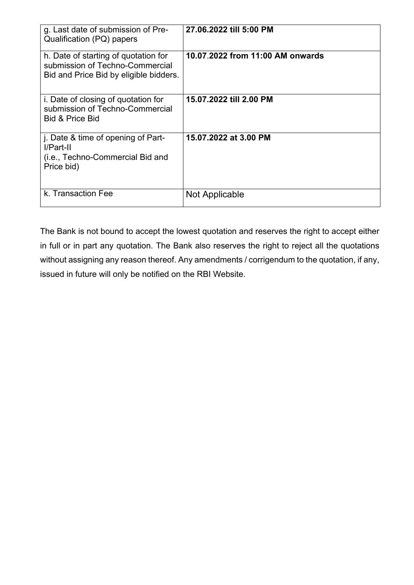| g. Last date of submission of Pre-<br>Qualification (PQ) papers                                                   | 27.06.2022 till 5:00 PM          |
|-------------------------------------------------------------------------------------------------------------------|----------------------------------|
| h. Date of starting of quotation for<br>submission of Techno-Commercial<br>Bid and Price Bid by eligible bidders. | 10.07.2022 from 11:00 AM onwards |
| i. Date of closing of quotation for<br>submission of Techno-Commercial<br><b>Bid &amp; Price Bid</b>              | 15.07.2022 till 2.00 PM          |
| j. Date & time of opening of Part-<br>I/Part-II<br>(i.e., Techno-Commercial Bid and<br>Price bid)                 | 15.07.2022 at 3.00 PM            |
| k. Transaction Fee                                                                                                | Not Applicable                   |

The Bank is not bound to accept the lowest quotation and reserves the right to accept either in full or in part any quotation. The Bank also reserves the right to reject all the quotations without assigning any reason thereof. Any amendments / corrigendum to the quotation, if any, issued in future will only be notified on the RBI Website.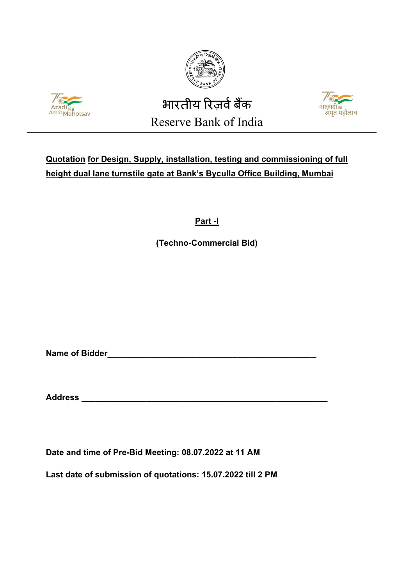





## **Quotation for Design, Supply, installation, testing and commissioning of full height dual lane turnstile gate at Bank's Byculla Office Building, Mumbai**

**Part -I**

**(Techno-Commercial Bid)**

**Name of Bidder\_\_\_\_\_\_\_\_\_\_\_\_\_\_\_\_\_\_\_\_\_\_\_\_\_\_\_\_\_\_\_\_\_\_\_\_\_\_\_\_\_\_\_\_\_**

**Address \_\_\_\_\_\_\_\_\_\_\_\_\_\_\_\_\_\_\_\_\_\_\_\_\_\_\_\_\_\_\_\_\_\_\_\_\_\_\_\_\_\_\_\_\_\_\_\_\_\_\_\_\_**

**Date and time of Pre-Bid Meeting: 08.07.2022 at 11 AM**

**Last date of submission of quotations: 15.07.2022 till 2 PM**

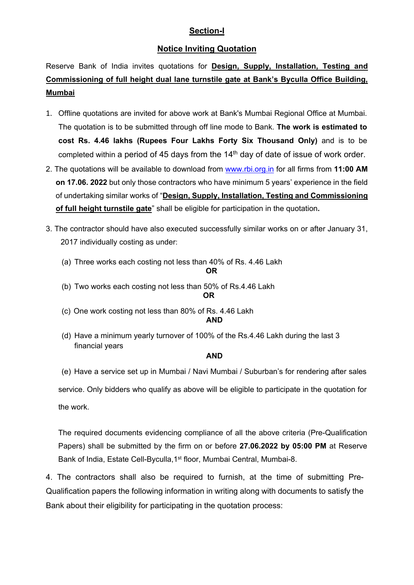#### **Section-I**

#### **Notice Inviting Quotation**

Reserve Bank of India invites quotations for **Design, Supply, Installation, Testing and Commissioning of full height dual lane turnstile gate at Bank's Byculla Office Building, Mumbai**

- 1. Offline quotations are invited for above work at Bank's Mumbai Regional Office at Mumbai. The quotation is to be submitted through off line mode to Bank. **The work is estimated to cost Rs. 4.46 lakhs (Rupees Four Lakhs Forty Six Thousand Only)** and is to be completed within a period of 45 days from the  $14<sup>th</sup>$  day of date of issue of work order.
- 2. The quotations will be available to download from [www.rbi.org.in](https://www.rbi.org.in/) for all firms from **11:00 AM on 17.06. 2022** but only those contractors who have minimum 5 years' experience in the field of undertaking similar works of "**Design, Supply, Installation, Testing and Commissioning of full height turnstile gate**" shall be eligible for participation in the quotation**.**
- 3. The contractor should have also executed successfully similar works on or after January 31, 2017 individually costing as under:
	- (a) Three works each costing not less than 40% of Rs. 4.46 Lakh

**OR**

- (b) Two works each costing not less than 50% of Rs.4.46 Lakh **OR**
- (c) One work costing not less than 80% of Rs. 4.46 Lakh **AND**
- (d) Have a minimum yearly turnover of 100% of the Rs.4.46 Lakh during the last 3 financial years

#### **AND**

(e) Have a service set up in Mumbai / Navi Mumbai / Suburban's for rendering after sales service. Only bidders who qualify as above will be eligible to participate in the quotation for the work.

The required documents evidencing compliance of all the above criteria (Pre-Qualification Papers) shall be submitted by the firm on or before **27.06.2022 by 05:00 PM** at Reserve Bank of India, Estate Cell-Byculla, 1<sup>st</sup> floor, Mumbai Central, Mumbai-8.

4. The contractors shall also be required to furnish, at the time of submitting Pre-Qualification papers the following information in writing along with documents to satisfy the Bank about their eligibility for participating in the quotation process: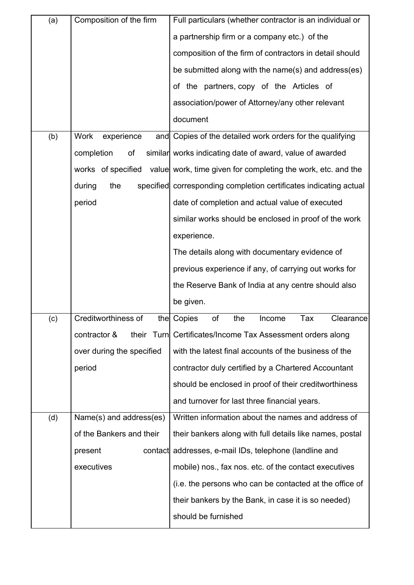| (a) | Composition of the firm   | Full particulars (whether contractor is an individual or          |  |
|-----|---------------------------|-------------------------------------------------------------------|--|
|     |                           | a partnership firm or a company etc.) of the                      |  |
|     |                           | composition of the firm of contractors in detail should           |  |
|     |                           | be submitted along with the name(s) and address(es)               |  |
|     |                           | of the partners, copy of the Articles of                          |  |
|     |                           | association/power of Attorney/any other relevant                  |  |
|     |                           | document                                                          |  |
| (b) | Work<br>experience<br>and | Copies of the detailed work orders for the qualifying             |  |
|     | completion<br>of          | similar works indicating date of award, value of awarded          |  |
|     | works of specified        | value work, time given for completing the work, etc. and the      |  |
|     | during<br>the             | specified corresponding completion certificates indicating actual |  |
|     | period                    | date of completion and actual value of executed                   |  |
|     |                           | similar works should be enclosed in proof of the work             |  |
|     |                           | experience.                                                       |  |
|     |                           | The details along with documentary evidence of                    |  |
|     |                           | previous experience if any, of carrying out works for             |  |
|     |                           | the Reserve Bank of India at any centre should also               |  |
|     |                           | be given.                                                         |  |
| (c) | Creditworthiness of       | Tax<br>of<br>the Copies<br>the<br>Income<br>Clearance             |  |
|     | contractor &              | their Turn Certificates/Income Tax Assessment orders along        |  |
|     | over during the specified | with the latest final accounts of the business of the             |  |
|     | period                    | contractor duly certified by a Chartered Accountant               |  |
|     |                           | should be enclosed in proof of their creditworthiness             |  |
|     |                           | and turnover for last three financial years.                      |  |
| (d) | Name(s) and address(es)   | Written information about the names and address of                |  |
|     | of the Bankers and their  | their bankers along with full details like names, postal          |  |
|     | present<br>contact        | addresses, e-mail IDs, telephone (landline and                    |  |
|     | executives                | mobile) nos., fax nos. etc. of the contact executives             |  |
|     |                           | (i.e. the persons who can be contacted at the office of           |  |
|     |                           | their bankers by the Bank, in case it is so needed)               |  |
|     |                           | should be furnished                                               |  |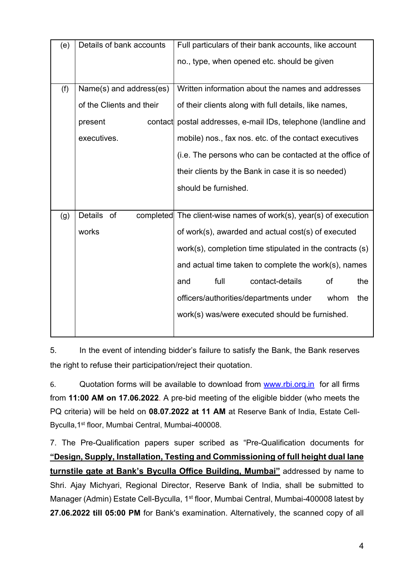| (e) | Details of bank accounts | Full particulars of their bank accounts, like account            |
|-----|--------------------------|------------------------------------------------------------------|
|     |                          | no., type, when opened etc. should be given                      |
|     |                          |                                                                  |
| (f) | Name(s) and address(es)  | Written information about the names and addresses                |
|     | of the Clients and their | of their clients along with full details, like names,            |
|     | contact<br>present       | postal addresses, e-mail IDs, telephone (landline and            |
|     | executives.              | mobile) nos., fax nos. etc. of the contact executives            |
|     |                          | (i.e. The persons who can be contacted at the office of          |
|     |                          | their clients by the Bank in case it is so needed)               |
|     |                          | should be furnished.                                             |
|     |                          |                                                                  |
| (g) | <b>Details</b><br>of     | completed The client-wise names of work(s), year(s) of execution |
|     | works                    | of work(s), awarded and actual cost(s) of executed               |
|     |                          | work(s), completion time stipulated in the contracts (s)         |
|     |                          | and actual time taken to complete the work(s), names             |
|     |                          | full<br>contact-details<br>of<br>the<br>and                      |
|     |                          | officers/authorities/departments under<br>the<br>whom            |
|     |                          | work(s) was/were executed should be furnished.                   |
|     |                          |                                                                  |

5. In the event of intending bidder's failure to satisfy the Bank, the Bank reserves the right to refuse their participation/reject their quotation.

6. Quotation forms will be available to download from [www.rbi.org.in](https://www.rbi.org.in/) for all firms from **11:00 AM on 17.06.2022**. A pre-bid meeting of the eligible bidder (who meets the PQ criteria) will be held on **08.07.2022 at 11 AM** at Reserve Bank of India, Estate Cell-Byculla,1st floor, Mumbai Central, Mumbai-400008.

7. The Pre-Qualification papers super scribed as "Pre-Qualification documents for **"Design, Supply, Installation, Testing and Commissioning of full height dual lane turnstile gate at Bank's Byculla Office Building, Mumbai"** addressed by name to Shri. Ajay Michyari, Regional Director, Reserve Bank of India, shall be submitted to Manager (Admin) Estate Cell-Byculla, 1<sup>st</sup> floor, Mumbai Central, Mumbai-400008 latest by **27.06.2022 till 05:00 PM** for Bank's examination. Alternatively, the scanned copy of all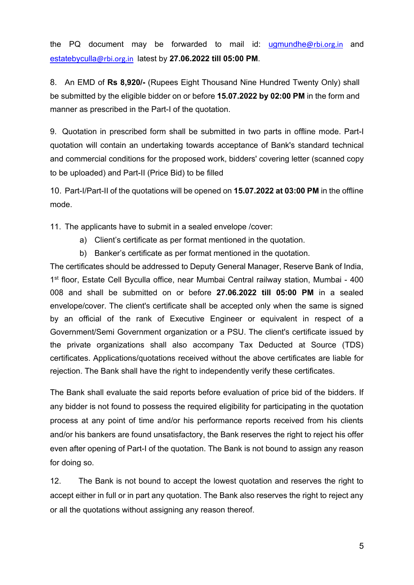the PQ document may be forwarded to mail id: [ugmundhe](mailto:ugmundhe@rbi.org.in)@rbi.org.in and [estatebyculla](mailto:estatebyculla@rbi.org.in)@rbi.org.in latest by **27.06.2022 till 05:00 PM**.

8. An EMD of **Rs 8,920/-** (Rupees Eight Thousand Nine Hundred Twenty Only) shall be submitted by the eligible bidder on or before **15.07.2022 by 02:00 PM** in the form and manner as prescribed in the Part-I of the quotation.

9. Quotation in prescribed form shall be submitted in two parts in offline mode. Part-I quotation will contain an undertaking towards acceptance of Bank's standard technical and commercial conditions for the proposed work, bidders' covering letter (scanned copy to be uploaded) and Part-II (Price Bid) to be filled

10. Part-I/Part-II of the quotations will be opened on **15.07.2022 at 03:00 PM** in the offline mode.

11. The applicants have to submit in a sealed envelope /cover:

- a) Client's certificate as per format mentioned in the quotation.
- b) Banker's certificate as per format mentioned in the quotation.

The certificates should be addressed to Deputy General Manager, Reserve Bank of India, 1st floor, Estate Cell Byculla office, near Mumbai Central railway station, Mumbai - 400 008 and shall be submitted on or before **27.06.2022 till 05:00 PM** in a sealed envelope/cover. The client's certificate shall be accepted only when the same is signed by an official of the rank of Executive Engineer or equivalent in respect of a Government/Semi Government organization or a PSU. The client's certificate issued by the private organizations shall also accompany Tax Deducted at Source (TDS) certificates. Applications/quotations received without the above certificates are liable for rejection. The Bank shall have the right to independently verify these certificates.

The Bank shall evaluate the said reports before evaluation of price bid of the bidders. If any bidder is not found to possess the required eligibility for participating in the quotation process at any point of time and/or his performance reports received from his clients and/or his bankers are found unsatisfactory, the Bank reserves the right to reject his offer even after opening of Part-I of the quotation. The Bank is not bound to assign any reason for doing so.

12. The Bank is not bound to accept the lowest quotation and reserves the right to accept either in full or in part any quotation. The Bank also reserves the right to reject any or all the quotations without assigning any reason thereof.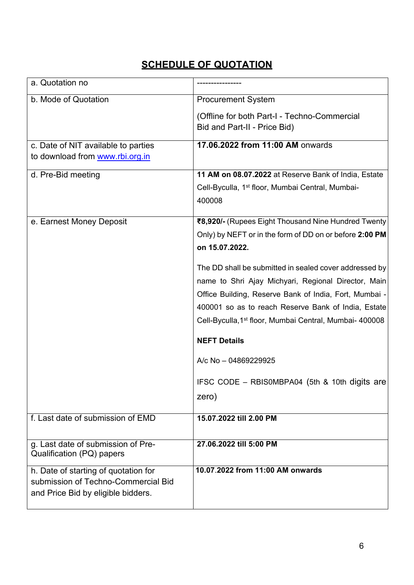## **SCHEDULE OF QUOTATION**

| a. Quotation no                                                 |                                                                     |
|-----------------------------------------------------------------|---------------------------------------------------------------------|
| b. Mode of Quotation                                            | <b>Procurement System</b>                                           |
|                                                                 | (Offline for both Part-I - Techno-Commercial                        |
|                                                                 | Bid and Part-II - Price Bid)                                        |
| c. Date of NIT available to parties                             | 17.06.2022 from 11:00 AM onwards                                    |
| to download from www.rbi.org.in                                 |                                                                     |
| d. Pre-Bid meeting                                              | 11 AM on 08.07.2022 at Reserve Bank of India, Estate                |
|                                                                 | Cell-Byculla, 1 <sup>st</sup> floor, Mumbai Central, Mumbai-        |
|                                                                 | 400008                                                              |
| e. Earnest Money Deposit                                        | ₹8,920/- (Rupees Eight Thousand Nine Hundred Twenty                 |
|                                                                 | Only) by NEFT or in the form of DD on or before 2:00 PM             |
|                                                                 | on 15.07.2022.                                                      |
|                                                                 | The DD shall be submitted in sealed cover addressed by              |
|                                                                 | name to Shri Ajay Michyari, Regional Director, Main                 |
|                                                                 | Office Building, Reserve Bank of India, Fort, Mumbai -              |
|                                                                 | 400001 so as to reach Reserve Bank of India, Estate                 |
|                                                                 | Cell-Byculla, 1 <sup>st</sup> floor, Mumbai Central, Mumbai- 400008 |
|                                                                 | <b>NEFT Details</b>                                                 |
|                                                                 | A/c No - 04869229925                                                |
|                                                                 | IFSC CODE - RBISOMBPA04 (5th & 10th digits are                      |
|                                                                 | zero)                                                               |
| f. Last date of submission of EMD                               | 15.07.2022 till 2.00 PM                                             |
|                                                                 |                                                                     |
| g. Last date of submission of Pre-<br>Qualification (PQ) papers | 27.06.2022 till 5:00 PM                                             |
| h. Date of starting of quotation for                            | 10.07.2022 from 11:00 AM onwards                                    |
| submission of Techno-Commercial Bid                             |                                                                     |
| and Price Bid by eligible bidders.                              |                                                                     |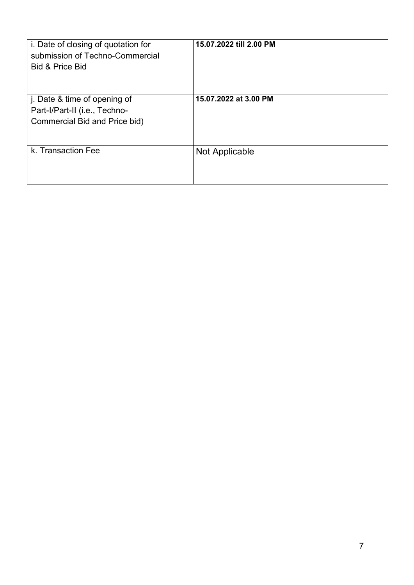| i. Date of closing of quotation for<br>submission of Techno-Commercial<br><b>Bid &amp; Price Bid</b> | 15.07.2022 till 2.00 PM |
|------------------------------------------------------------------------------------------------------|-------------------------|
| j. Date & time of opening of<br>Part-I/Part-II (i.e., Techno-<br>Commercial Bid and Price bid)       | 15.07.2022 at 3.00 PM   |
| k. Transaction Fee                                                                                   | Not Applicable          |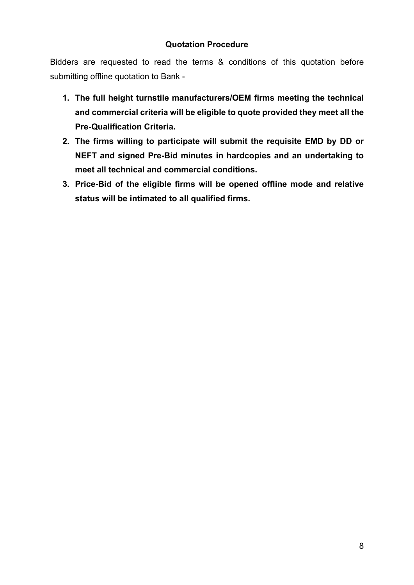#### **Quotation Procedure**

Bidders are requested to read the terms & conditions of this quotation before submitting offline quotation to Bank -

- **1. The full height turnstile manufacturers/OEM firms meeting the technical and commercial criteria will be eligible to quote provided they meet all the Pre-Qualification Criteria.**
- **2. The firms willing to participate will submit the requisite EMD by DD or NEFT and signed Pre-Bid minutes in hardcopies and an undertaking to meet all technical and commercial conditions.**
- **3. Price-Bid of the eligible firms will be opened offline mode and relative status will be intimated to all qualified firms.**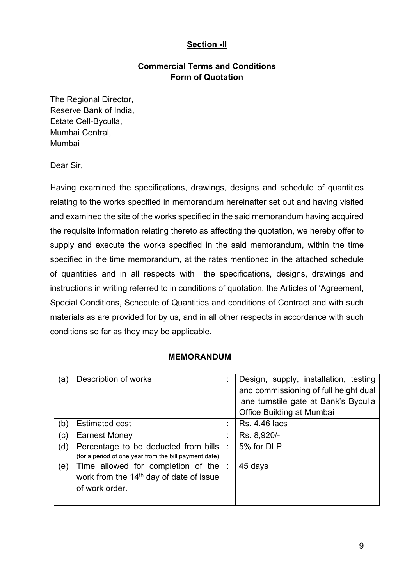#### **Section -II**

#### **Commercial Terms and Conditions Form of Quotation**

The Regional Director, Reserve Bank of India, Estate Cell-Byculla, Mumbai Central, Mumbai

Dear Sir,

Having examined the specifications, drawings, designs and schedule of quantities relating to the works specified in memorandum hereinafter set out and having visited and examined the site of the works specified in the said memorandum having acquired the requisite information relating thereto as affecting the quotation, we hereby offer to supply and execute the works specified in the said memorandum, within the time specified in the time memorandum, at the rates mentioned in the attached schedule of quantities and in all respects with the specifications, designs, drawings and instructions in writing referred to in conditions of quotation, the Articles of 'Agreement, Special Conditions, Schedule of Quantities and conditions of Contract and with such materials as are provided for by us, and in all other respects in accordance with such conditions so far as they may be applicable.

#### **MEMORANDUM**

| (a) | Description of works                                  | ÷ | Design, supply, installation, testing |
|-----|-------------------------------------------------------|---|---------------------------------------|
|     |                                                       |   | and commissioning of full height dual |
|     |                                                       |   | lane turnstile gate at Bank's Byculla |
|     |                                                       |   | Office Building at Mumbai             |
| (b) | <b>Estimated cost</b>                                 | ÷ | <b>Rs. 4.46 lacs</b>                  |
| (c) | <b>Earnest Money</b>                                  | t | Rs. 8,920/-                           |
| (d) | Percentage to be deducted from bills                  | ÷ | 5% for DLP                            |
|     | (for a period of one year from the bill payment date) |   |                                       |
| (e) | Time allowed for completion of the                    | ÷ | 45 days                               |
|     | work from the 14 <sup>th</sup> day of date of issue   |   |                                       |
|     | of work order.                                        |   |                                       |
|     |                                                       |   |                                       |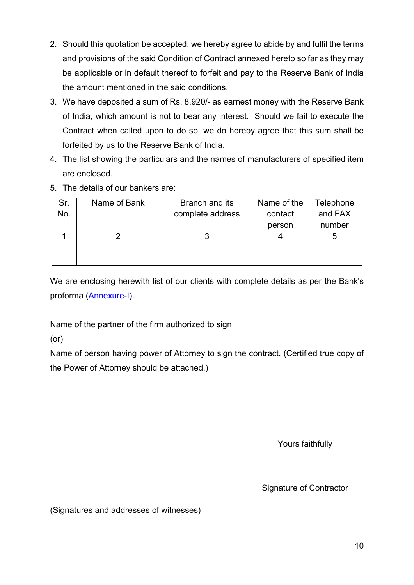- 2. Should this quotation be accepted, we hereby agree to abide by and fulfil the terms and provisions of the said Condition of Contract annexed hereto so far as they may be applicable or in default thereof to forfeit and pay to the Reserve Bank of India the amount mentioned in the said conditions.
- 3. We have deposited a sum of Rs. 8,920/- as earnest money with the Reserve Bank of India, which amount is not to bear any interest. Should we fail to execute the Contract when called upon to do so, we do hereby agree that this sum shall be forfeited by us to the Reserve Bank of India.
- 4. The list showing the particulars and the names of manufacturers of specified item are enclosed.
- 5. The details of our bankers are:

| Sr. | Name of Bank | Branch and its   | Name of the | Telephone |
|-----|--------------|------------------|-------------|-----------|
| No. |              | complete address | contact     | and FAX   |
|     |              |                  | person      | number    |
|     |              |                  |             |           |
|     |              |                  |             |           |
|     |              |                  |             |           |

We are enclosing herewith list of our clients with complete details as per the Bank's proforma [\(Annexure-I\)](#page-49-0).

Name of the partner of the firm authorized to sign

(or)

Name of person having power of Attorney to sign the contract. (Certified true copy of the Power of Attorney should be attached.)

Yours faithfully

Signature of Contractor

(Signatures and addresses of witnesses)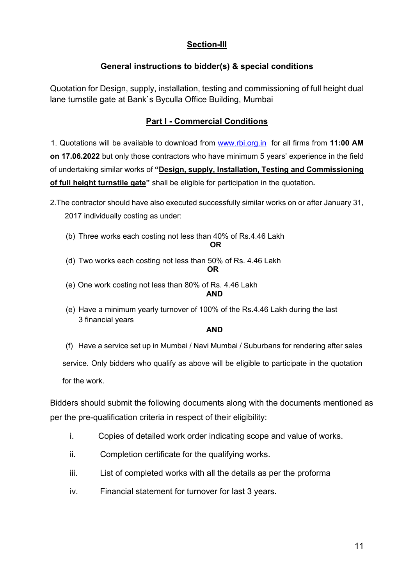#### **Section-III**

#### **General instructions to bidder(s) & special conditions**

Quotation for Design, supply, installation, testing and commissioning of full height dual lane turnstile gate at Bank`s Byculla Office Building, Mumbai

#### **Part I - Commercial Conditions**

 1. Quotations will be available to download from [www.rbi.org.in](https://www.rbi.org.in/) for all firms from **11:00 AM on 17.06.2022** but only those contractors who have minimum 5 years' experience in the field of undertaking similar works of **"Design, supply, Installation, Testing and Commissioning of full height turnstile gate"** shall be eligible for participation in the quotation**.**

2.The contractor should have also executed successfully similar works on or after January 31,

- 2017 individually costing as under:
- (b) Three works each costing not less than 40% of Rs.4.46 Lakh

```
OR
```
(d) Two works each costing not less than 50% of Rs. 4.46 Lakh

#### **OR**

- (e) One work costing not less than 80% of Rs. 4.46 Lakh **AND**
- (e) Have a minimum yearly turnover of 100% of the Rs.4.46 Lakh during the last 3 financial years

#### **AND**

(f) Have a service set up in Mumbai / Navi Mumbai / Suburbans for rendering after sales

service. Only bidders who qualify as above will be eligible to participate in the quotation

for the work.

Bidders should submit the following documents along with the documents mentioned as per the pre-qualification criteria in respect of their eligibility:

- i. Copies of detailed work order indicating scope and value of works.
- ii. Completion certificate for the qualifying works.
- iii. List of completed works with all the details as per the proforma
- iv. Financial statement for turnover for last 3 years**.**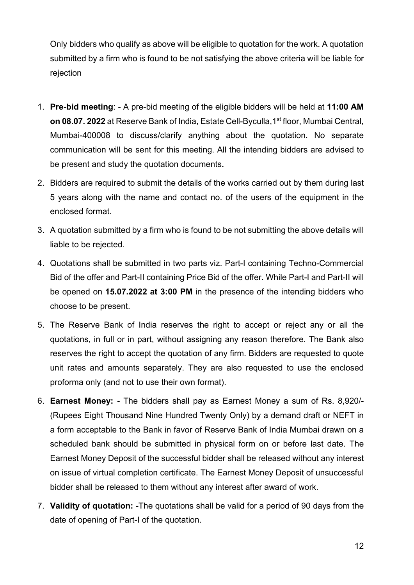Only bidders who qualify as above will be eligible to quotation for the work. A quotation submitted by a firm who is found to be not satisfying the above criteria will be liable for rejection

- 1. **Pre-bid meeting**: A pre-bid meeting of the eligible bidders will be held at **11:00 AM on 08.07. 2022** at Reserve Bank of India, Estate Cell-Byculla, 1<sup>st</sup> floor, Mumbai Central, Mumbai-400008 to discuss/clarify anything about the quotation. No separate communication will be sent for this meeting. All the intending bidders are advised to be present and study the quotation documents**.**
- 2. Bidders are required to submit the details of the works carried out by them during last 5 years along with the name and contact no. of the users of the equipment in the enclosed format.
- 3. A quotation submitted by a firm who is found to be not submitting the above details will liable to be rejected.
- 4. Quotations shall be submitted in two parts viz. Part-I containing Techno-Commercial Bid of the offer and Part-II containing Price Bid of the offer. While Part-I and Part-II will be opened on **15.07.2022 at 3:00 PM** in the presence of the intending bidders who choose to be present.
- 5. The Reserve Bank of India reserves the right to accept or reject any or all the quotations, in full or in part, without assigning any reason therefore. The Bank also reserves the right to accept the quotation of any firm. Bidders are requested to quote unit rates and amounts separately. They are also requested to use the enclosed proforma only (and not to use their own format).
- 6. **Earnest Money: -** The bidders shall pay as Earnest Money a sum of Rs. 8,920/- (Rupees Eight Thousand Nine Hundred Twenty Only) by a demand draft or NEFT in a form acceptable to the Bank in favor of Reserve Bank of India Mumbai drawn on a scheduled bank should be submitted in physical form on or before last date. The Earnest Money Deposit of the successful bidder shall be released without any interest on issue of virtual completion certificate. The Earnest Money Deposit of unsuccessful bidder shall be released to them without any interest after award of work.
- 7. **Validity of quotation: -**The quotations shall be valid for a period of 90 days from the date of opening of Part-I of the quotation.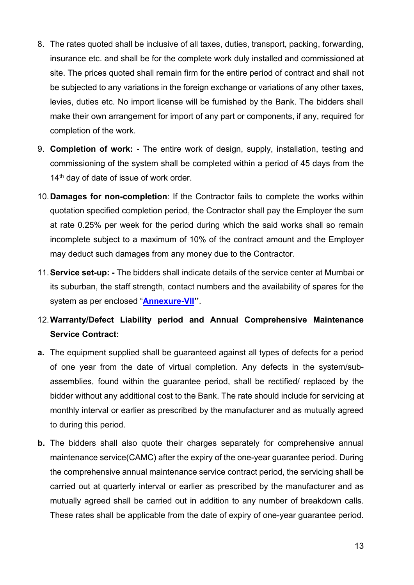- 8. The rates quoted shall be inclusive of all taxes, duties, transport, packing, forwarding, insurance etc. and shall be for the complete work duly installed and commissioned at site. The prices quoted shall remain firm for the entire period of contract and shall not be subjected to any variations in the foreign exchange or variations of any other taxes, levies, duties etc. No import license will be furnished by the Bank. The bidders shall make their own arrangement for import of any part or components, if any, required for completion of the work.
- 9. **Completion of work: -** The entire work of design, supply, installation, testing and commissioning of the system shall be completed within a period of 45 days from the 14<sup>th</sup> day of date of issue of work order.
- 10.**Damages for non-completion**: If the Contractor fails to complete the works within quotation specified completion period, the Contractor shall pay the Employer the sum at rate 0.25% per week for the period during which the said works shall so remain incomplete subject to a maximum of 10% of the contract amount and the Employer may deduct such damages from any money due to the Contractor.
- 11.**Service set-up: -** The bidders shall indicate details of the service center at Mumbai or its suburban, the staff strength, contact numbers and the availability of spares for the system as per enclosed "**[Annexure-VII'](#page-59-0)'**.
- 12.**Warranty/Defect Liability period and Annual Comprehensive Maintenance Service Contract:**
- **a.** The equipment supplied shall be guaranteed against all types of defects for a period of one year from the date of virtual completion. Any defects in the system/subassemblies, found within the guarantee period, shall be rectified/ replaced by the bidder without any additional cost to the Bank. The rate should include for servicing at monthly interval or earlier as prescribed by the manufacturer and as mutually agreed to during this period.
- **b.** The bidders shall also quote their charges separately for comprehensive annual maintenance service(CAMC) after the expiry of the one-year guarantee period. During the comprehensive annual maintenance service contract period, the servicing shall be carried out at quarterly interval or earlier as prescribed by the manufacturer and as mutually agreed shall be carried out in addition to any number of breakdown calls. These rates shall be applicable from the date of expiry of one-year guarantee period.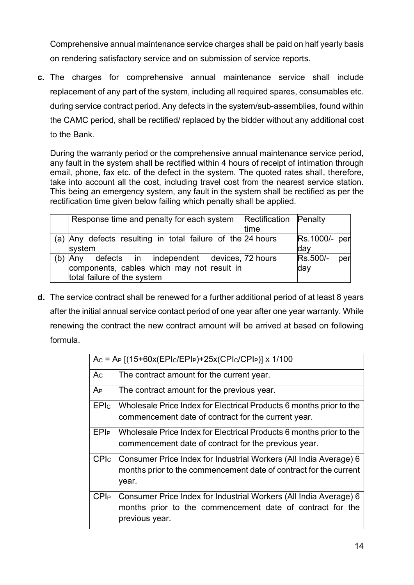Comprehensive annual maintenance service charges shall be paid on half yearly basis on rendering satisfactory service and on submission of service reports.

**c.** The charges for comprehensive annual maintenance service shall include replacement of any part of the system, including all required spares, consumables etc. during service contract period. Any defects in the system/sub-assemblies, found within the CAMC period, shall be rectified/ replaced by the bidder without any additional cost to the Bank.

During the warranty period or the comprehensive annual maintenance service period, any fault in the system shall be rectified within 4 hours of receipt of intimation through email, phone, fax etc. of the defect in the system. The quoted rates shall, therefore, take into account all the cost, including travel cost from the nearest service station. This being an emergency system, any fault in the system shall be rectified as per the rectification time given below failing which penalty shall be applied.

|     | Response time and penalty for each system Rectification Penalty |      |                 |
|-----|-----------------------------------------------------------------|------|-----------------|
|     |                                                                 | time |                 |
|     | (a) Any defects resulting in total failure of the 24 hours      |      | Rs.1000/- per   |
|     | system                                                          |      | day             |
| (b) | Any defects in independent devices, 72 hours                    |      | Rs.500/-<br>per |
|     | components, cables which may not result in                      |      | day             |
|     | total failure of the system                                     |      |                 |

**d.** The service contract shall be renewed for a further additional period of at least 8 years after the initial annual service contact period of one year after one year warranty. While renewing the contract the new contract amount will be arrived at based on following formula.

|                  | $Ac = Ap [(15+60x(EP1c/EP1P)+25x(CP1c/CP1P)] x 1/100$                      |
|------------------|----------------------------------------------------------------------------|
| Ac               | The contract amount for the current year.                                  |
| $A_{P}$          | The contract amount for the previous year.                                 |
| <b>EPIc</b>      | Wholesale Price Index for Electrical Products 6 months prior to the        |
|                  | commencement date of contract for the current year.                        |
| EPIP             | Wholesale Price Index for Electrical Products 6 months prior to the        |
|                  | commencement date of contract for the previous year.                       |
| <b>CPI</b> c     | Consumer Price Index for Industrial Workers (All India Average) 6          |
|                  | months prior to the commencement date of contract for the current<br>year. |
| CPI <sub>P</sub> | Consumer Price Index for Industrial Workers (All India Average) 6          |
|                  | months prior to the commencement date of contract for the                  |
|                  | previous year.                                                             |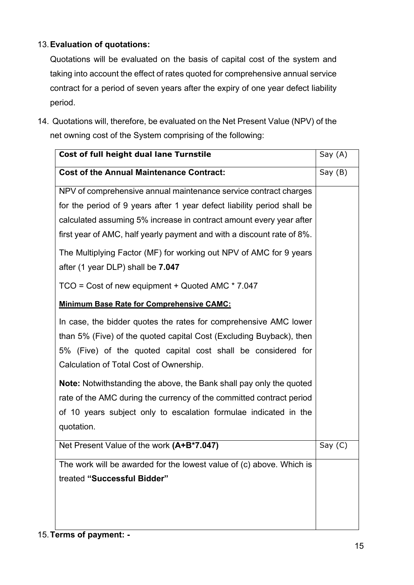### 13.**Evaluation of quotations:**

Quotations will be evaluated on the basis of capital cost of the system and taking into account the effect of rates quoted for comprehensive annual service contract for a period of seven years after the expiry of one year defect liability period.

14. Quotations will, therefore, be evaluated on the Net Present Value (NPV) of the net owning cost of the System comprising of the following:

| Cost of full height dual lane Turnstile                                    | Say (A)   |
|----------------------------------------------------------------------------|-----------|
| <b>Cost of the Annual Maintenance Contract:</b>                            | Say(B)    |
| NPV of comprehensive annual maintenance service contract charges           |           |
| for the period of 9 years after 1 year defect liability period shall be    |           |
| calculated assuming 5% increase in contract amount every year after        |           |
| first year of AMC, half yearly payment and with a discount rate of 8%.     |           |
| The Multiplying Factor (MF) for working out NPV of AMC for 9 years         |           |
| after (1 year DLP) shall be 7.047                                          |           |
| $TCO = Cost of new equipment + Quoted AMC * 7.047$                         |           |
| <b>Minimum Base Rate for Comprehensive CAMC:</b>                           |           |
| In case, the bidder quotes the rates for comprehensive AMC lower           |           |
| than 5% (Five) of the quoted capital Cost (Excluding Buyback), then        |           |
| 5% (Five) of the quoted capital cost shall be considered for               |           |
| Calculation of Total Cost of Ownership.                                    |           |
| <b>Note:</b> Notwithstanding the above, the Bank shall pay only the quoted |           |
| rate of the AMC during the currency of the committed contract period       |           |
| of 10 years subject only to escalation formulae indicated in the           |           |
| quotation.                                                                 |           |
| Net Present Value of the work (A+B*7.047)                                  | Say $(C)$ |
| The work will be awarded for the lowest value of (c) above. Which is       |           |
| treated "Successful Bidder"                                                |           |
|                                                                            |           |
|                                                                            |           |
|                                                                            |           |

## 15.**Terms of payment: -**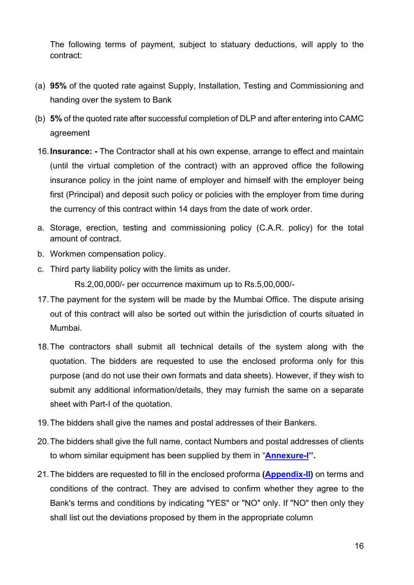The following terms of payment, subject to statuary deductions, will apply to the contract:

- (a) **95%** of the quoted rate against Supply, Installation, Testing and Commissioning and handing over the system to Bank
- (b) **5%** of the quoted rate after successful completion of DLP and after entering into CAMC agreement
- 16.**Insurance: -** The Contractor shall at his own expense, arrange to effect and maintain (until the virtual completion of the contract) with an approved office the following insurance policy in the joint name of employer and himself with the employer being first (Principal) and deposit such policy or policies with the employer from time during the currency of this contract within 14 days from the date of work order.
- a. Storage, erection, testing and commissioning policy (C.A.R. policy) for the total amount of contract.
- b. Workmen compensation policy.
- c. Third party liability policy with the limits as under.

Rs.2,00,000/- per occurrence maximum up to Rs.5,00,000/-

- 17.The payment for the system will be made by the Mumbai Office. The dispute arising out of this contract will also be sorted out within the jurisdiction of courts situated in Mumbai.
- 18.The contractors shall submit all technical details of the system along with the quotation. The bidders are requested to use the enclosed proforma only for this purpose (and do not use their own formats and data sheets). However, if they wish to submit any additional information/details, they may furnish the same on a separate sheet with Part-I of the quotation.
- 19.The bidders shall give the names and postal addresses of their Bankers.
- 20.The bidders shall give the full name, contact Numbers and postal addresses of clients to whom similar equipment has been supplied by them in "**[Annexure-I'](#page-49-0)'.**
- 21.The bidders are requested to fill in the enclosed proforma **[\(Appendix-II\)](#page-41-0)** on terms and conditions of the contract. They are advised to confirm whether they agree to the Bank's terms and conditions by indicating "YES" or "NO" only. If "NO" then only they shall list out the deviations proposed by them in the appropriate column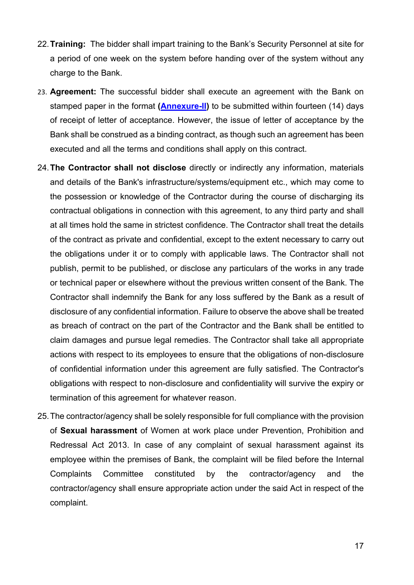- 22.**Training:** The bidder shall impart training to the Bank's Security Personnel at site for a period of one week on the system before handing over of the system without any charge to the Bank.
- 23. **Agreement:** The successful bidder shall execute an agreement with the Bank on stamped paper in the format **[\(Annexure-II\)](#page-50-0)** to be submitted within fourteen (14) days of receipt of letter of acceptance. However, the issue of letter of acceptance by the Bank shall be construed as a binding contract, as though such an agreement has been executed and all the terms and conditions shall apply on this contract.
- 24.**The Contractor shall not disclose** directly or indirectly any information, materials and details of the Bank's infrastructure/systems/equipment etc., which may come to the possession or knowledge of the Contractor during the course of discharging its contractual obligations in connection with this agreement, to any third party and shall at all times hold the same in strictest confidence. The Contractor shall treat the details of the contract as private and confidential, except to the extent necessary to carry out the obligations under it or to comply with applicable laws. The Contractor shall not publish, permit to be published, or disclose any particulars of the works in any trade or technical paper or elsewhere without the previous written consent of the Bank. The Contractor shall indemnify the Bank for any loss suffered by the Bank as a result of disclosure of any confidential information. Failure to observe the above shall be treated as breach of contract on the part of the Contractor and the Bank shall be entitled to claim damages and pursue legal remedies. The Contractor shall take all appropriate actions with respect to its employees to ensure that the obligations of non-disclosure of confidential information under this agreement are fully satisfied. The Contractor's obligations with respect to non-disclosure and confidentiality will survive the expiry or termination of this agreement for whatever reason.
- 25.The contractor/agency shall be solely responsible for full compliance with the provision of **Sexual harassment** of Women at work place under Prevention, Prohibition and Redressal Act 2013. In case of any complaint of sexual harassment against its employee within the premises of Bank, the complaint will be filed before the Internal Complaints Committee constituted by the contractor/agency and the contractor/agency shall ensure appropriate action under the said Act in respect of the complaint.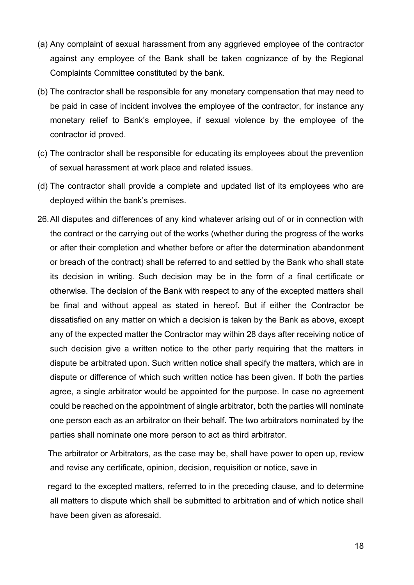- (a) Any complaint of sexual harassment from any aggrieved employee of the contractor against any employee of the Bank shall be taken cognizance of by the Regional Complaints Committee constituted by the bank.
- (b) The contractor shall be responsible for any monetary compensation that may need to be paid in case of incident involves the employee of the contractor, for instance any monetary relief to Bank's employee, if sexual violence by the employee of the contractor id proved.
- (c) The contractor shall be responsible for educating its employees about the prevention of sexual harassment at work place and related issues.
- (d) The contractor shall provide a complete and updated list of its employees who are deployed within the bank's premises.
- 26.All disputes and differences of any kind whatever arising out of or in connection with the contract or the carrying out of the works (whether during the progress of the works or after their completion and whether before or after the determination abandonment or breach of the contract) shall be referred to and settled by the Bank who shall state its decision in writing. Such decision may be in the form of a final certificate or otherwise. The decision of the Bank with respect to any of the excepted matters shall be final and without appeal as stated in hereof. But if either the Contractor be dissatisfied on any matter on which a decision is taken by the Bank as above, except any of the expected matter the Contractor may within 28 days after receiving notice of such decision give a written notice to the other party requiring that the matters in dispute be arbitrated upon. Such written notice shall specify the matters, which are in dispute or difference of which such written notice has been given. If both the parties agree, a single arbitrator would be appointed for the purpose. In case no agreement could be reached on the appointment of single arbitrator, both the parties will nominate one person each as an arbitrator on their behalf. The two arbitrators nominated by the parties shall nominate one more person to act as third arbitrator.

The arbitrator or Arbitrators, as the case may be, shall have power to open up, review and revise any certificate, opinion, decision, requisition or notice, save in

regard to the excepted matters, referred to in the preceding clause, and to determine all matters to dispute which shall be submitted to arbitration and of which notice shall have been given as aforesaid.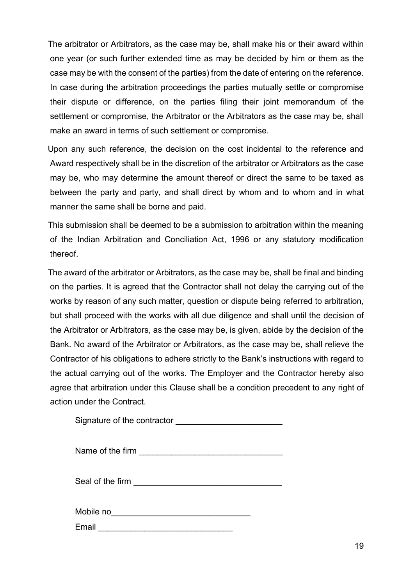The arbitrator or Arbitrators, as the case may be, shall make his or their award within one year (or such further extended time as may be decided by him or them as the case may be with the consent of the parties) from the date of entering on the reference. In case during the arbitration proceedings the parties mutually settle or compromise their dispute or difference, on the parties filing their joint memorandum of the settlement or compromise, the Arbitrator or the Arbitrators as the case may be, shall make an award in terms of such settlement or compromise.

Upon any such reference, the decision on the cost incidental to the reference and Award respectively shall be in the discretion of the arbitrator or Arbitrators as the case may be, who may determine the amount thereof or direct the same to be taxed as between the party and party, and shall direct by whom and to whom and in what manner the same shall be borne and paid.

This submission shall be deemed to be a submission to arbitration within the meaning of the Indian Arbitration and Conciliation Act, 1996 or any statutory modification thereof.

The award of the arbitrator or Arbitrators, as the case may be, shall be final and binding on the parties. It is agreed that the Contractor shall not delay the carrying out of the works by reason of any such matter, question or dispute being referred to arbitration, but shall proceed with the works with all due diligence and shall until the decision of the Arbitrator or Arbitrators, as the case may be, is given, abide by the decision of the Bank. No award of the Arbitrator or Arbitrators, as the case may be, shall relieve the Contractor of his obligations to adhere strictly to the Bank's instructions with regard to the actual carrying out of the works. The Employer and the Contractor hereby also agree that arbitration under this Clause shall be a condition precedent to any right of action under the Contract.

| Signature of the contractor |  |
|-----------------------------|--|
|-----------------------------|--|

Seal of the firm **Example 20** and the seal of the firm **EXAMPLE 20 and 20 and 20 and 20 and 20 and 20 and 20 and 20 and 20 and 20 and 20 and 20 and 20 and 20 and 20 and 20 and 20 and 20 and 20 and 20 and 20 and 20 and 20 a** 

Mobile no\_\_\_\_\_\_\_\_\_\_\_\_\_\_\_\_\_\_\_\_\_\_\_\_\_\_\_\_\_\_

Email **Email Email**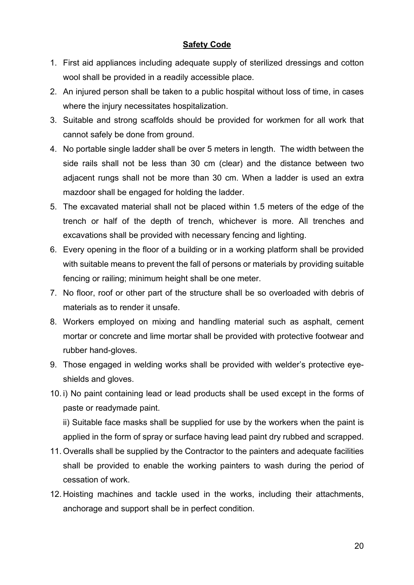#### **Safety Code**

- 1. First aid appliances including adequate supply of sterilized dressings and cotton wool shall be provided in a readily accessible place.
- 2. An injured person shall be taken to a public hospital without loss of time, in cases where the injury necessitates hospitalization.
- 3. Suitable and strong scaffolds should be provided for workmen for all work that cannot safely be done from ground.
- 4. No portable single ladder shall be over 5 meters in length. The width between the side rails shall not be less than 30 cm (clear) and the distance between two adjacent rungs shall not be more than 30 cm. When a ladder is used an extra mazdoor shall be engaged for holding the ladder.
- 5. The excavated material shall not be placed within 1.5 meters of the edge of the trench or half of the depth of trench, whichever is more. All trenches and excavations shall be provided with necessary fencing and lighting.
- 6. Every opening in the floor of a building or in a working platform shall be provided with suitable means to prevent the fall of persons or materials by providing suitable fencing or railing; minimum height shall be one meter.
- 7. No floor, roof or other part of the structure shall be so overloaded with debris of materials as to render it unsafe.
- 8. Workers employed on mixing and handling material such as asphalt, cement mortar or concrete and lime mortar shall be provided with protective footwear and rubber hand-gloves.
- 9. Those engaged in welding works shall be provided with welder's protective eyeshields and gloves.
- 10. i) No paint containing lead or lead products shall be used except in the forms of paste or readymade paint.

ii) Suitable face masks shall be supplied for use by the workers when the paint is applied in the form of spray or surface having lead paint dry rubbed and scrapped.

- 11. Overalls shall be supplied by the Contractor to the painters and adequate facilities shall be provided to enable the working painters to wash during the period of cessation of work.
- 12. Hoisting machines and tackle used in the works, including their attachments, anchorage and support shall be in perfect condition.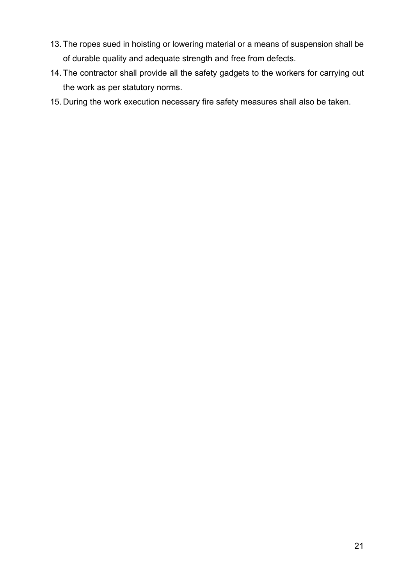- 13. The ropes sued in hoisting or lowering material or a means of suspension shall be of durable quality and adequate strength and free from defects.
- 14. The contractor shall provide all the safety gadgets to the workers for carrying out the work as per statutory norms.
- 15. During the work execution necessary fire safety measures shall also be taken.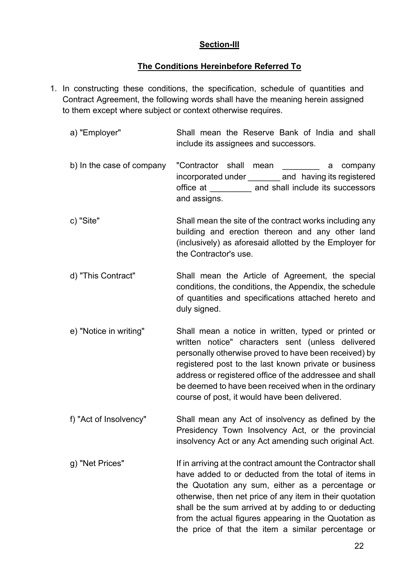#### **Section-III**

#### **The Conditions Hereinbefore Referred To**

1. In constructing these conditions, the specification, schedule of quantities and Contract Agreement, the following words shall have the meaning herein assigned to them except where subject or context otherwise requires.

| a) "Employer"             | Shall mean the Reserve Bank of India and shall<br>include its assignees and successors.                                                                                                                                                                                                                                                                                                        |
|---------------------------|------------------------------------------------------------------------------------------------------------------------------------------------------------------------------------------------------------------------------------------------------------------------------------------------------------------------------------------------------------------------------------------------|
| b) In the case of company | "Contractor shall mean<br>company<br>a<br>incorporated under ___________ and having its registered<br>office at __________ and shall include its successors<br>and assigns.                                                                                                                                                                                                                    |
| c) "Site"                 | Shall mean the site of the contract works including any<br>building and erection thereon and any other land<br>(inclusively) as aforesaid allotted by the Employer for<br>the Contractor's use.                                                                                                                                                                                                |
| d) "This Contract"        | Shall mean the Article of Agreement, the special<br>conditions, the conditions, the Appendix, the schedule<br>of quantities and specifications attached hereto and<br>duly signed.                                                                                                                                                                                                             |
| e) "Notice in writing"    | Shall mean a notice in written, typed or printed or<br>written notice" characters sent (unless delivered<br>personally otherwise proved to have been received) by<br>registered post to the last known private or business<br>address or registered office of the addressee and shall<br>be deemed to have been received when in the ordinary<br>course of post, it would have been delivered. |
| f) "Act of Insolvency"    | Shall mean any Act of insolvency as defined by the<br>Presidency Town Insolvency Act, or the provincial<br>insolvency Act or any Act amending such original Act.                                                                                                                                                                                                                               |
| g) "Net Prices"           | If in arriving at the contract amount the Contractor shall<br>have added to or deducted from the total of items in<br>the Quotation any sum, either as a percentage or<br>otherwise, then net price of any item in their quotation<br>shall be the sum arrived at by adding to or deducting                                                                                                    |

from the actual figures appearing in the Quotation as the price of that the item a similar percentage or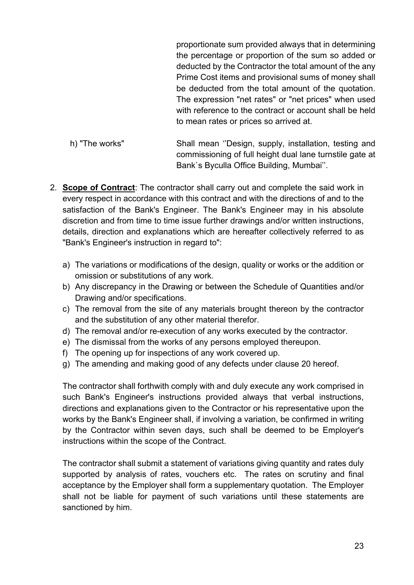proportionate sum provided always that in determining the percentage or proportion of the sum so added or deducted by the Contractor the total amount of the any Prime Cost items and provisional sums of money shall be deducted from the total amount of the quotation. The expression "net rates" or "net prices" when used with reference to the contract or account shall be held to mean rates or prices so arrived at.

h) "The works" Shall mean ''Design, supply, installation, testing and commissioning of full height dual lane turnstile gate at Bank`s Byculla Office Building, Mumbai''.

- 2. **Scope of Contract**: The contractor shall carry out and complete the said work in every respect in accordance with this contract and with the directions of and to the satisfaction of the Bank's Engineer. The Bank's Engineer may in his absolute discretion and from time to time issue further drawings and/or written instructions, details, direction and explanations which are hereafter collectively referred to as "Bank's Engineer's instruction in regard to":
	- a) The variations or modifications of the design, quality or works or the addition or omission or substitutions of any work.
	- b) Any discrepancy in the Drawing or between the Schedule of Quantities and/or Drawing and/or specifications.
	- c) The removal from the site of any materials brought thereon by the contractor and the substitution of any other material therefor.
	- d) The removal and/or re-execution of any works executed by the contractor.
	- e) The dismissal from the works of any persons employed thereupon.
	- f) The opening up for inspections of any work covered up.
	- g) The amending and making good of any defects under clause 20 hereof.

The contractor shall forthwith comply with and duly execute any work comprised in such Bank's Engineer's instructions provided always that verbal instructions, directions and explanations given to the Contractor or his representative upon the works by the Bank's Engineer shall, if involving a variation, be confirmed in writing by the Contractor within seven days, such shall be deemed to be Employer's instructions within the scope of the Contract.

The contractor shall submit a statement of variations giving quantity and rates duly supported by analysis of rates, vouchers etc. The rates on scrutiny and final acceptance by the Employer shall form a supplementary quotation. The Employer shall not be liable for payment of such variations until these statements are sanctioned by him.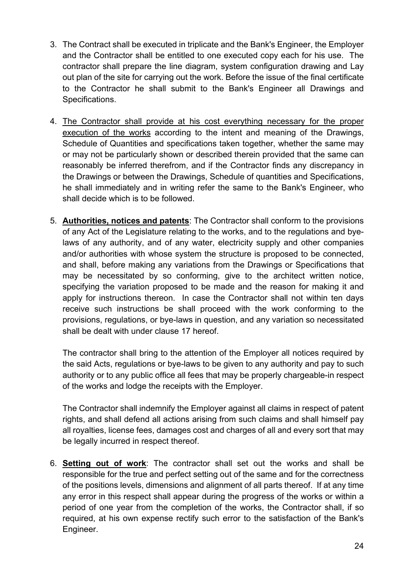- 3. The Contract shall be executed in triplicate and the Bank's Engineer, the Employer and the Contractor shall be entitled to one executed copy each for his use. The contractor shall prepare the line diagram, system configuration drawing and Lay out plan of the site for carrying out the work. Before the issue of the final certificate to the Contractor he shall submit to the Bank's Engineer all Drawings and Specifications.
- 4. The Contractor shall provide at his cost everything necessary for the proper execution of the works according to the intent and meaning of the Drawings, Schedule of Quantities and specifications taken together, whether the same may or may not be particularly shown or described therein provided that the same can reasonably be inferred therefrom, and if the Contractor finds any discrepancy in the Drawings or between the Drawings, Schedule of quantities and Specifications, he shall immediately and in writing refer the same to the Bank's Engineer, who shall decide which is to be followed.
- 5. **Authorities, notices and patents**: The Contractor shall conform to the provisions of any Act of the Legislature relating to the works, and to the regulations and byelaws of any authority, and of any water, electricity supply and other companies and/or authorities with whose system the structure is proposed to be connected, and shall, before making any variations from the Drawings or Specifications that may be necessitated by so conforming, give to the architect written notice, specifying the variation proposed to be made and the reason for making it and apply for instructions thereon. In case the Contractor shall not within ten days receive such instructions be shall proceed with the work conforming to the provisions, regulations, or bye-laws in question, and any variation so necessitated shall be dealt with under clause 17 hereof.

The contractor shall bring to the attention of the Employer all notices required by the said Acts, regulations or bye-laws to be given to any authority and pay to such authority or to any public office all fees that may be properly chargeable-in respect of the works and lodge the receipts with the Employer.

The Contractor shall indemnify the Employer against all claims in respect of patent rights, and shall defend all actions arising from such claims and shall himself pay all royalties, license fees, damages cost and charges of all and every sort that may be legally incurred in respect thereof.

6. **Setting out of work**: The contractor shall set out the works and shall be responsible for the true and perfect setting out of the same and for the correctness of the positions levels, dimensions and alignment of all parts thereof. If at any time any error in this respect shall appear during the progress of the works or within a period of one year from the completion of the works, the Contractor shall, if so required, at his own expense rectify such error to the satisfaction of the Bank's Engineer.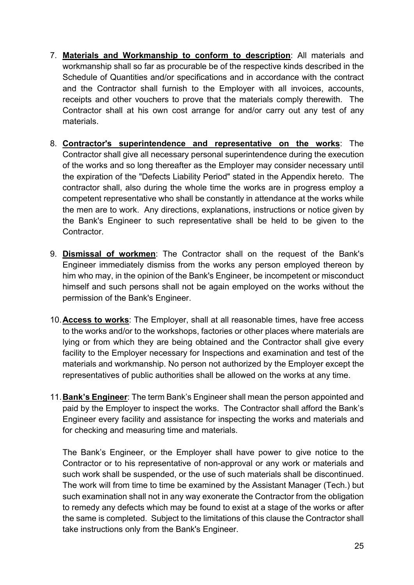- 7. **Materials and Workmanship to conform to description**: All materials and workmanship shall so far as procurable be of the respective kinds described in the Schedule of Quantities and/or specifications and in accordance with the contract and the Contractor shall furnish to the Employer with all invoices, accounts, receipts and other vouchers to prove that the materials comply therewith. The Contractor shall at his own cost arrange for and/or carry out any test of any materials.
- 8. **Contractor's superintendence and representative on the works**: The Contractor shall give all necessary personal superintendence during the execution of the works and so long thereafter as the Employer may consider necessary until the expiration of the "Defects Liability Period" stated in the Appendix hereto. The contractor shall, also during the whole time the works are in progress employ a competent representative who shall be constantly in attendance at the works while the men are to work. Any directions, explanations, instructions or notice given by the Bank's Engineer to such representative shall be held to be given to the Contractor.
- 9. **Dismissal of workmen**: The Contractor shall on the request of the Bank's Engineer immediately dismiss from the works any person employed thereon by him who may, in the opinion of the Bank's Engineer, be incompetent or misconduct himself and such persons shall not be again employed on the works without the permission of the Bank's Engineer.
- 10.**Access to works**: The Employer, shall at all reasonable times, have free access to the works and/or to the workshops, factories or other places where materials are lying or from which they are being obtained and the Contractor shall give every facility to the Employer necessary for Inspections and examination and test of the materials and workmanship. No person not authorized by the Employer except the representatives of public authorities shall be allowed on the works at any time.
- 11.**Bank's Engineer**: The term Bank's Engineer shall mean the person appointed and paid by the Employer to inspect the works. The Contractor shall afford the Bank's Engineer every facility and assistance for inspecting the works and materials and for checking and measuring time and materials.

The Bank's Engineer, or the Employer shall have power to give notice to the Contractor or to his representative of non-approval or any work or materials and such work shall be suspended, or the use of such materials shall be discontinued. The work will from time to time be examined by the Assistant Manager (Tech.) but such examination shall not in any way exonerate the Contractor from the obligation to remedy any defects which may be found to exist at a stage of the works or after the same is completed. Subject to the limitations of this clause the Contractor shall take instructions only from the Bank's Engineer.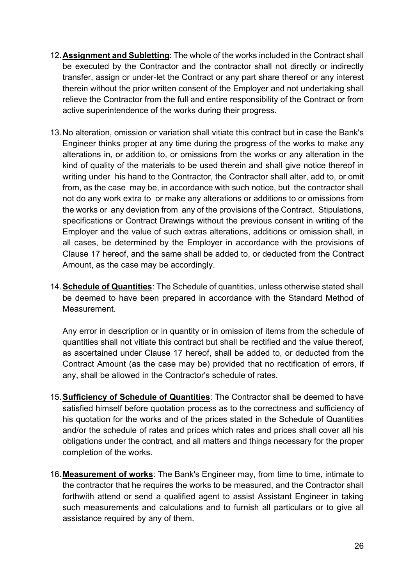- 12.**Assignment and Subletting**: The whole of the works included in the Contract shall be executed by the Contractor and the contractor shall not directly or indirectly transfer, assign or under-let the Contract or any part share thereof or any interest therein without the prior written consent of the Employer and not undertaking shall relieve the Contractor from the full and entire responsibility of the Contract or from active superintendence of the works during their progress.
- 13.No alteration, omission or variation shall vitiate this contract but in case the Bank's Engineer thinks proper at any time during the progress of the works to make any alterations in, or addition to, or omissions from the works or any alteration in the kind of quality of the materials to be used therein and shall give notice thereof in writing under his hand to the Contractor, the Contractor shall alter, add to, or omit from, as the case may be, in accordance with such notice, but the contractor shall not do any work extra to or make any alterations or additions to or omissions from the works or any deviation from any of the provisions of the Contract. Stipulations, specifications or Contract Drawings without the previous consent in writing of the Employer and the value of such extras alterations, additions or omission shall, in all cases, be determined by the Employer in accordance with the provisions of Clause 17 hereof, and the same shall be added to, or deducted from the Contract Amount, as the case may be accordingly.
- 14.**Schedule of Quantities**: The Schedule of quantities, unless otherwise stated shall be deemed to have been prepared in accordance with the Standard Method of Measurement.

Any error in description or in quantity or in omission of items from the schedule of quantities shall not vitiate this contract but shall be rectified and the value thereof, as ascertained under Clause 17 hereof, shall be added to, or deducted from the Contract Amount (as the case may be) provided that no rectification of errors, if any, shall be allowed in the Contractor's schedule of rates.

- 15.**Sufficiency of Schedule of Quantities**: The Contractor shall be deemed to have satisfied himself before quotation process as to the correctness and sufficiency of his quotation for the works and of the prices stated in the Schedule of Quantities and/or the schedule of rates and prices which rates and prices shall cover all his obligations under the contract, and all matters and things necessary for the proper completion of the works.
- 16.**Measurement of works**: The Bank's Engineer may, from time to time, intimate to the contractor that he requires the works to be measured, and the Contractor shall forthwith attend or send a qualified agent to assist Assistant Engineer in taking such measurements and calculations and to furnish all particulars or to give all assistance required by any of them.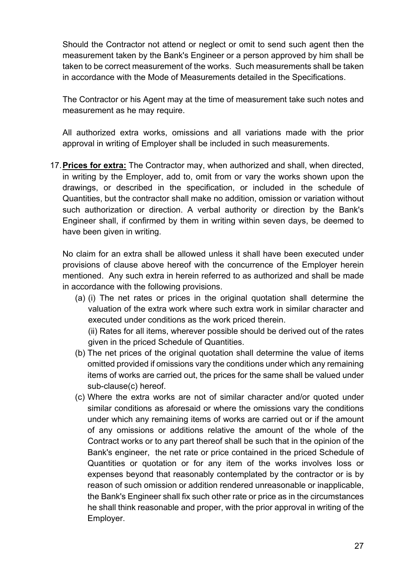Should the Contractor not attend or neglect or omit to send such agent then the measurement taken by the Bank's Engineer or a person approved by him shall be taken to be correct measurement of the works. Such measurements shall be taken in accordance with the Mode of Measurements detailed in the Specifications.

The Contractor or his Agent may at the time of measurement take such notes and measurement as he may require.

All authorized extra works, omissions and all variations made with the prior approval in writing of Employer shall be included in such measurements.

17.**Prices for extra:** The Contractor may, when authorized and shall, when directed, in writing by the Employer, add to, omit from or vary the works shown upon the drawings, or described in the specification, or included in the schedule of Quantities, but the contractor shall make no addition, omission or variation without such authorization or direction. A verbal authority or direction by the Bank's Engineer shall, if confirmed by them in writing within seven days, be deemed to have been given in writing.

No claim for an extra shall be allowed unless it shall have been executed under provisions of clause above hereof with the concurrence of the Employer herein mentioned. Any such extra in herein referred to as authorized and shall be made in accordance with the following provisions.

(a) (i) The net rates or prices in the original quotation shall determine the valuation of the extra work where such extra work in similar character and executed under conditions as the work priced therein.

(ii) Rates for all items, wherever possible should be derived out of the rates given in the priced Schedule of Quantities.

- (b) The net prices of the original quotation shall determine the value of items omitted provided if omissions vary the conditions under which any remaining items of works are carried out, the prices for the same shall be valued under sub-clause(c) hereof.
- (c) Where the extra works are not of similar character and/or quoted under similar conditions as aforesaid or where the omissions vary the conditions under which any remaining items of works are carried out or if the amount of any omissions or additions relative the amount of the whole of the Contract works or to any part thereof shall be such that in the opinion of the Bank's engineer, the net rate or price contained in the priced Schedule of Quantities or quotation or for any item of the works involves loss or expenses beyond that reasonably contemplated by the contractor or is by reason of such omission or addition rendered unreasonable or inapplicable, the Bank's Engineer shall fix such other rate or price as in the circumstances he shall think reasonable and proper, with the prior approval in writing of the Employer.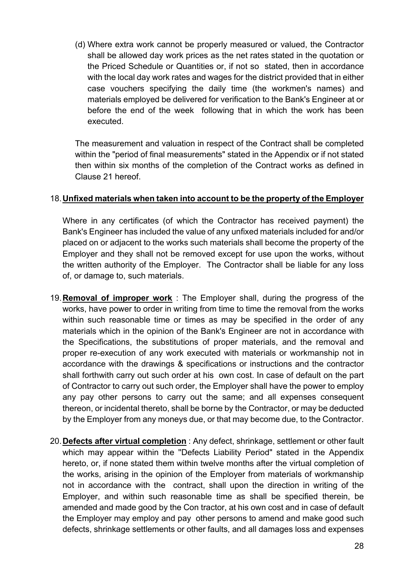(d) Where extra work cannot be properly measured or valued, the Contractor shall be allowed day work prices as the net rates stated in the quotation or the Priced Schedule or Quantities or, if not so stated, then in accordance with the local day work rates and wages for the district provided that in either case vouchers specifying the daily time (the workmen's names) and materials employed be delivered for verification to the Bank's Engineer at or before the end of the week following that in which the work has been executed.

The measurement and valuation in respect of the Contract shall be completed within the "period of final measurements" stated in the Appendix or if not stated then within six months of the completion of the Contract works as defined in Clause 21 hereof.

#### 18.**Unfixed materials when taken into account to be the property of the Employer**

Where in any certificates (of which the Contractor has received payment) the Bank's Engineer has included the value of any unfixed materials included for and/or placed on or adjacent to the works such materials shall become the property of the Employer and they shall not be removed except for use upon the works, without the written authority of the Employer. The Contractor shall be liable for any loss of, or damage to, such materials.

- 19.**Removal of improper work** : The Employer shall, during the progress of the works, have power to order in writing from time to time the removal from the works within such reasonable time or times as may be specified in the order of any materials which in the opinion of the Bank's Engineer are not in accordance with the Specifications, the substitutions of proper materials, and the removal and proper re-execution of any work executed with materials or workmanship not in accordance with the drawings & specifications or instructions and the contractor shall forthwith carry out such order at his own cost. In case of default on the part of Contractor to carry out such order, the Employer shall have the power to employ any pay other persons to carry out the same; and all expenses consequent thereon, or incidental thereto, shall be borne by the Contractor, or may be deducted by the Employer from any moneys due, or that may become due, to the Contractor.
- 20.**Defects after virtual completion** : Any defect, shrinkage, settlement or other fault which may appear within the ''Defects Liability Period" stated in the Appendix hereto, or, if none stated them within twelve months after the virtual completion of the works, arising in the opinion of the Employer from materials of workmanship not in accordance with the contract, shall upon the direction in writing of the Employer, and within such reasonable time as shall be specified therein, be amended and made good by the Con tractor, at his own cost and in case of default the Employer may employ and pay other persons to amend and make good such defects, shrinkage settlements or other faults, and all damages loss and expenses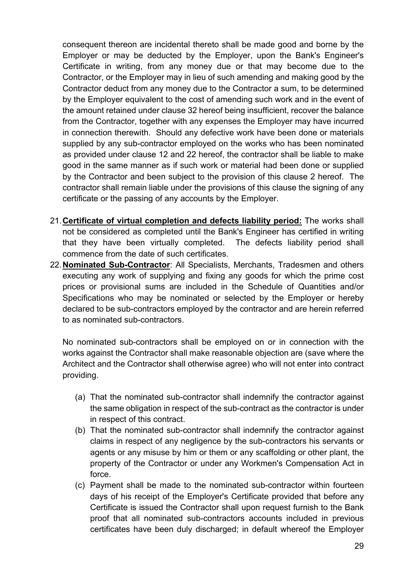consequent thereon are incidental thereto shall be made good and borne by the Employer or may be deducted by the Employer, upon the Bank's Engineer's Certificate in writing, from any money due or that may become due to the Contractor, or the Employer may in lieu of such amending and making good by the Contractor deduct from any money due to the Contractor a sum, to be determined by the Employer equivalent to the cost of amending such work and in the event of the amount retained under clause 32 hereof being insufficient, recover the balance from the Contractor, together with any expenses the Employer may have incurred in connection therewith. Should any defective work have been done or materials supplied by any sub-contractor employed on the works who has been nominated as provided under clause 12 and 22 hereof, the contractor shall be liable to make good in the same manner as if such work or material had been done or supplied by the Contractor and been subject to the provision of this clause 2 hereof. The contractor shall remain liable under the provisions of this clause the signing of any certificate or the passing of any accounts by the Employer.

- 21.**Certificate of virtual completion and defects liability period:** The works shall not be considered as completed until the Bank's Engineer has certified in writing that they have been virtually completed. The defects liability period shall commence from the date of such certificates.
- 22.**Nominated Sub-Contractor**: All Specialists, Merchants, Tradesmen and others executing any work of supplying and fixing any goods for which the prime cost prices or provisional sums are included in the Schedule of Quantities and/or Specifications who may be nominated or selected by the Employer or hereby declared to be sub-contractors employed by the contractor and are herein referred to as nominated sub-contractors.

No nominated sub-contractors shall be employed on or in connection with the works against the Contractor shall make reasonable objection are (save where the Architect and the Contractor shall otherwise agree) who will not enter into contract providing.

- (a) That the nominated sub-contractor shall indemnify the contractor against the same obligation in respect of the sub-contract as the contractor is under in respect of this contract.
- (b) That the nominated sub-contractor shall indemnify the contractor against claims in respect of any negligence by the sub-contractors his servants or agents or any misuse by him or them or any scaffolding or other plant, the property of the Contractor or under any Workmen's Compensation Act in force.
- (c) Payment shall be made to the nominated sub-contractor within fourteen days of his receipt of the Employer's Certificate provided that before any Certificate is issued the Contractor shall upon request furnish to the Bank proof that all nominated sub-contractors accounts included in previous certificates have been duly discharged; in default whereof the Employer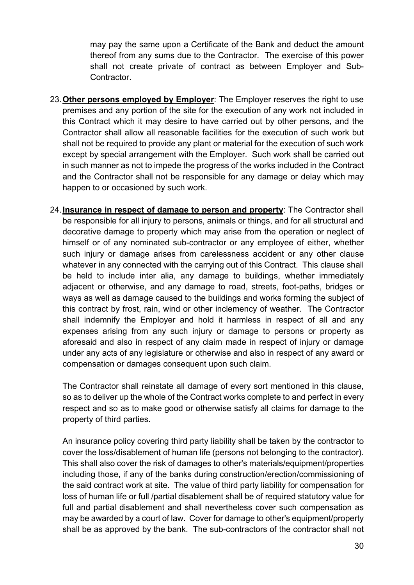may pay the same upon a Certificate of the Bank and deduct the amount thereof from any sums due to the Contractor. The exercise of this power shall not create private of contract as between Employer and Sub-Contractor.

- 23.**Other persons employed by Employer**: The Employer reserves the right to use premises and any portion of the site for the execution of any work not included in this Contract which it may desire to have carried out by other persons, and the Contractor shall allow all reasonable facilities for the execution of such work but shall not be required to provide any plant or material for the execution of such work except by special arrangement with the Employer. Such work shall be carried out in such manner as not to impede the progress of the works included in the Contract and the Contractor shall not be responsible for any damage or delay which may happen to or occasioned by such work.
- 24.**Insurance in respect of damage to person and property**: The Contractor shall be responsible for all injury to persons, animals or things, and for all structural and decorative damage to property which may arise from the operation or neglect of himself or of any nominated sub-contractor or any employee of either, whether such injury or damage arises from carelessness accident or any other clause whatever in any connected with the carrying out of this Contract. This clause shall be held to include inter alia, any damage to buildings, whether immediately adjacent or otherwise, and any damage to road, streets, foot-paths, bridges or ways as well as damage caused to the buildings and works forming the subject of this contract by frost, rain, wind or other inclemency of weather. The Contractor shall indemnify the Employer and hold it harmless in respect of all and any expenses arising from any such injury or damage to persons or property as aforesaid and also in respect of any claim made in respect of injury or damage under any acts of any legislature or otherwise and also in respect of any award or compensation or damages consequent upon such claim.

The Contractor shall reinstate all damage of every sort mentioned in this clause, so as to deliver up the whole of the Contract works complete to and perfect in every respect and so as to make good or otherwise satisfy all claims for damage to the property of third parties.

An insurance policy covering third party liability shall be taken by the contractor to cover the loss/disablement of human life (persons not belonging to the contractor). This shall also cover the risk of damages to other's materials/equipment/properties including those, if any of the banks during construction/erection/commissioning of the said contract work at site. The value of third party liability for compensation for loss of human life or full /partial disablement shall be of required statutory value for full and partial disablement and shall nevertheless cover such compensation as may be awarded by a court of law. Cover for damage to other's equipment/property shall be as approved by the bank. The sub-contractors of the contractor shall not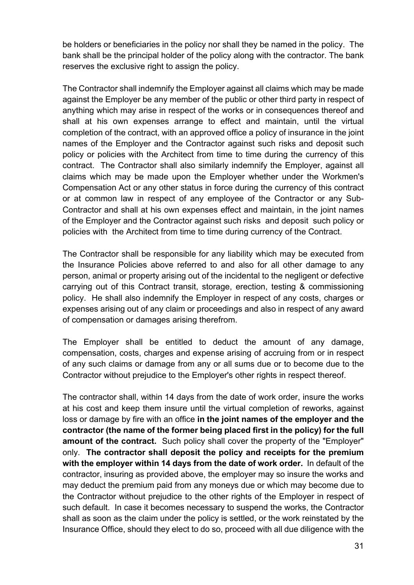be holders or beneficiaries in the policy nor shall they be named in the policy. The bank shall be the principal holder of the policy along with the contractor. The bank reserves the exclusive right to assign the policy.

The Contractor shall indemnify the Employer against all claims which may be made against the Employer be any member of the public or other third party in respect of anything which may arise in respect of the works or in consequences thereof and shall at his own expenses arrange to effect and maintain, until the virtual completion of the contract, with an approved office a policy of insurance in the joint names of the Employer and the Contractor against such risks and deposit such policy or policies with the Architect from time to time during the currency of this contract. The Contractor shall also similarly indemnify the Employer, against all claims which may be made upon the Employer whether under the Workmen's Compensation Act or any other status in force during the currency of this contract or at common law in respect of any employee of the Contractor or any Sub-Contractor and shall at his own expenses effect and maintain, in the joint names of the Employer and the Contractor against such risks and deposit such policy or policies with the Architect from time to time during currency of the Contract.

The Contractor shall be responsible for any liability which may be executed from the Insurance Policies above referred to and also for all other damage to any person, animal or property arising out of the incidental to the negligent or defective carrying out of this Contract transit, storage, erection, testing & commissioning policy. He shall also indemnify the Employer in respect of any costs, charges or expenses arising out of any claim or proceedings and also in respect of any award of compensation or damages arising therefrom.

The Employer shall be entitled to deduct the amount of any damage, compensation, costs, charges and expense arising of accruing from or in respect of any such claims or damage from any or all sums due or to become due to the Contractor without prejudice to the Employer's other rights in respect thereof.

The contractor shall, within 14 days from the date of work order, insure the works at his cost and keep them insure until the virtual completion of reworks, against loss or damage by fire with an office **in the joint names of the employer and the contractor (the name of the former being placed first in the policy) for the full amount of the contract.** Such policy shall cover the property of the "Employer" only. **The contractor shall deposit the policy and receipts for the premium with the employer within 14 days from the date of work order.** In default of the contractor, insuring as provided above, the employer may so insure the works and may deduct the premium paid from any moneys due or which may become due to the Contractor without prejudice to the other rights of the Employer in respect of such default. In case it becomes necessary to suspend the works, the Contractor shall as soon as the claim under the policy is settled, or the work reinstated by the Insurance Office, should they elect to do so, proceed with all due diligence with the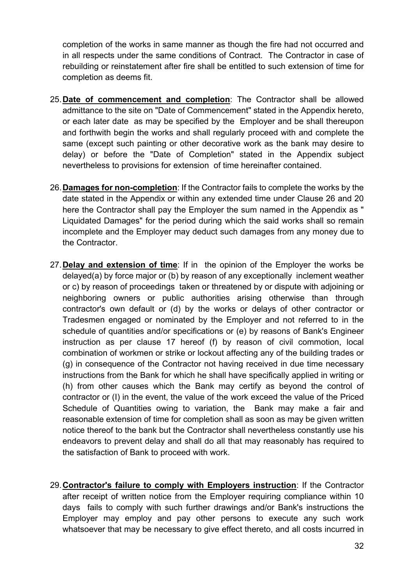completion of the works in same manner as though the fire had not occurred and in all respects under the same conditions of Contract. The Contractor in case of rebuilding or reinstatement after fire shall be entitled to such extension of time for completion as deems fit.

- 25.**Date of commencement and completion**: The Contractor shall be allowed admittance to the site on "Date of Commencement" stated in the Appendix hereto, or each later date as may be specified by the Employer and be shall thereupon and forthwith begin the works and shall regularly proceed with and complete the same (except such painting or other decorative work as the bank may desire to delay) or before the "Date of Completion" stated in the Appendix subject nevertheless to provisions for extension of time hereinafter contained.
- 26.**Damages for non-completion**: If the Contractor fails to complete the works by the date stated in the Appendix or within any extended time under Clause 26 and 20 here the Contractor shall pay the Employer the sum named in the Appendix as " Liquidated Damages" for the period during which the said works shall so remain incomplete and the Employer may deduct such damages from any money due to the Contractor.
- 27.**Delay and extension of time**: If in the opinion of the Employer the works be delayed(a) by force major or (b) by reason of any exceptionally inclement weather or c) by reason of proceedings taken or threatened by or dispute with adjoining or neighboring owners or public authorities arising otherwise than through contractor's own default or (d) by the works or delays of other contractor or Tradesmen engaged or nominated by the Employer and not referred to in the schedule of quantities and/or specifications or (e) by reasons of Bank's Engineer instruction as per clause 17 hereof (f) by reason of civil commotion, local combination of workmen or strike or lockout affecting any of the building trades or (g) in consequence of the Contractor not having received in due time necessary instructions from the Bank for which he shall have specifically applied in writing or (h) from other causes which the Bank may certify as beyond the control of contractor or (I) in the event, the value of the work exceed the value of the Priced Schedule of Quantities owing to variation, the Bank may make a fair and reasonable extension of time for completion shall as soon as may be given written notice thereof to the bank but the Contractor shall nevertheless constantly use his endeavors to prevent delay and shall do all that may reasonably has required to the satisfaction of Bank to proceed with work.
- 29.**Contractor's failure to comply with Employers instruction**: If the Contractor after receipt of written notice from the Employer requiring compliance within 10 days fails to comply with such further drawings and/or Bank's instructions the Employer may employ and pay other persons to execute any such work whatsoever that may be necessary to give effect thereto, and all costs incurred in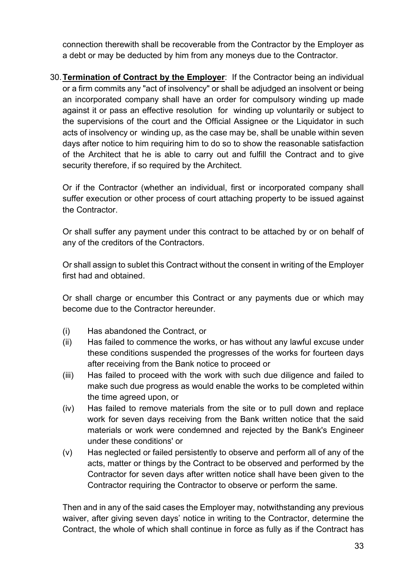connection therewith shall be recoverable from the Contractor by the Employer as a debt or may be deducted by him from any moneys due to the Contractor.

30.**Termination of Contract by the Employer**: If the Contractor being an individual or a firm commits any "act of insolvency" or shall be adjudged an insolvent or being an incorporated company shall have an order for compulsory winding up made against it or pass an effective resolution for winding up voluntarily or subject to the supervisions of the court and the Official Assignee or the Liquidator in such acts of insolvency or winding up, as the case may be, shall be unable within seven days after notice to him requiring him to do so to show the reasonable satisfaction of the Architect that he is able to carry out and fulfill the Contract and to give security therefore, if so required by the Architect.

Or if the Contractor (whether an individual, first or incorporated company shall suffer execution or other process of court attaching property to be issued against the Contractor.

Or shall suffer any payment under this contract to be attached by or on behalf of any of the creditors of the Contractors.

Or shall assign to sublet this Contract without the consent in writing of the Employer first had and obtained.

Or shall charge or encumber this Contract or any payments due or which may become due to the Contractor hereunder.

- (i) Has abandoned the Contract, or
- (ii) Has failed to commence the works, or has without any lawful excuse under these conditions suspended the progresses of the works for fourteen days after receiving from the Bank notice to proceed or
- (iii) Has failed to proceed with the work with such due diligence and failed to make such due progress as would enable the works to be completed within the time agreed upon, or
- (iv) Has failed to remove materials from the site or to pull down and replace work for seven days receiving from the Bank written notice that the said materials or work were condemned and rejected by the Bank's Engineer under these conditions' or
- (v) Has neglected or failed persistently to observe and perform all of any of the acts, matter or things by the Contract to be observed and performed by the Contractor for seven days after written notice shall have been given to the Contractor requiring the Contractor to observe or perform the same.

Then and in any of the said cases the Employer may, notwithstanding any previous waiver, after giving seven days' notice in writing to the Contractor, determine the Contract, the whole of which shall continue in force as fully as if the Contract has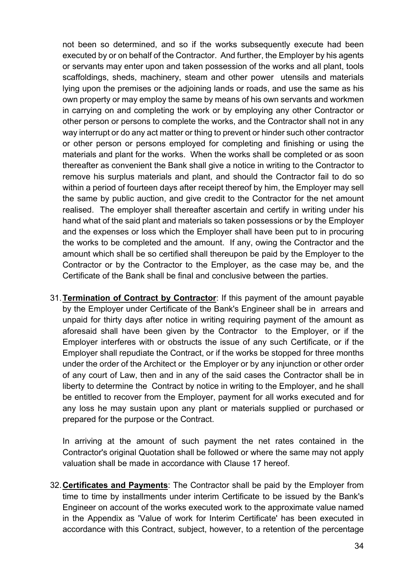not been so determined, and so if the works subsequently execute had been executed by or on behalf of the Contractor. And further, the Employer by his agents or servants may enter upon and taken possession of the works and all plant, tools scaffoldings, sheds, machinery, steam and other power utensils and materials lying upon the premises or the adjoining lands or roads, and use the same as his own property or may employ the same by means of his own servants and workmen in carrying on and completing the work or by employing any other Contractor or other person or persons to complete the works, and the Contractor shall not in any way interrupt or do any act matter or thing to prevent or hinder such other contractor or other person or persons employed for completing and finishing or using the materials and plant for the works. When the works shall be completed or as soon thereafter as convenient the Bank shall give a notice in writing to the Contractor to remove his surplus materials and plant, and should the Contractor fail to do so within a period of fourteen days after receipt thereof by him, the Employer may sell the same by public auction, and give credit to the Contractor for the net amount realised. The employer shall thereafter ascertain and certify in writing under his hand what of the said plant and materials so taken possessions or by the Employer and the expenses or loss which the Employer shall have been put to in procuring the works to be completed and the amount. If any, owing the Contractor and the amount which shall be so certified shall thereupon be paid by the Employer to the Contractor or by the Contractor to the Employer, as the case may be, and the Certificate of the Bank shall be final and conclusive between the parties.

31.**Termination of Contract by Contractor**: If this payment of the amount payable by the Employer under Certificate of the Bank's Engineer shall be in arrears and unpaid for thirty days after notice in writing requiring payment of the amount as aforesaid shall have been given by the Contractor to the Employer, or if the Employer interferes with or obstructs the issue of any such Certificate, or if the Employer shall repudiate the Contract, or if the works be stopped for three months under the order of the Architect or the Employer or by any injunction or other order of any court of Law, then and in any of the said cases the Contractor shall be in liberty to determine the Contract by notice in writing to the Employer, and he shall be entitled to recover from the Employer, payment for all works executed and for any loss he may sustain upon any plant or materials supplied or purchased or prepared for the purpose or the Contract.

In arriving at the amount of such payment the net rates contained in the Contractor's original Quotation shall be followed or where the same may not apply valuation shall be made in accordance with Clause 17 hereof.

32.**Certificates and Payments**: The Contractor shall be paid by the Employer from time to time by installments under interim Certificate to be issued by the Bank's Engineer on account of the works executed work to the approximate value named in the Appendix as 'Value of work for Interim Certificate' has been executed in accordance with this Contract, subject, however, to a retention of the percentage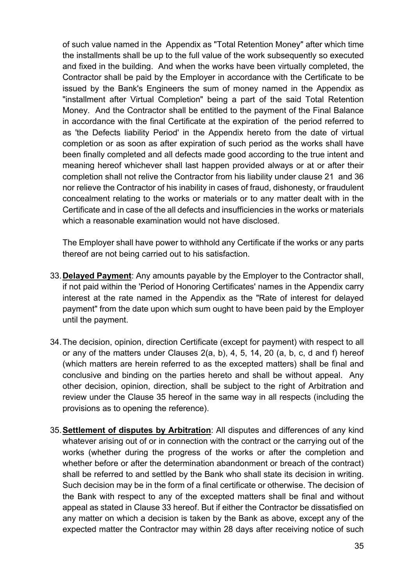of such value named in the Appendix as "Total Retention Money" after which time the installments shall be up to the full value of the work subsequently so executed and fixed in the building. And when the works have been virtually completed, the Contractor shall be paid by the Employer in accordance with the Certificate to be issued by the Bank's Engineers the sum of money named in the Appendix as "installment after Virtual Completion" being a part of the said Total Retention Money. And the Contractor shall be entitled to the payment of the Final Balance in accordance with the final Certificate at the expiration of the period referred to as 'the Defects liability Period' in the Appendix hereto from the date of virtual completion or as soon as after expiration of such period as the works shall have been finally completed and all defects made good according to the true intent and meaning hereof whichever shall last happen provided always or at or after their completion shall not relive the Contractor from his liability under clause 21 and 36 nor relieve the Contractor of his inability in cases of fraud, dishonesty, or fraudulent concealment relating to the works or materials or to any matter dealt with in the Certificate and in case of the all defects and insufficiencies in the works or materials which a reasonable examination would not have disclosed.

The Employer shall have power to withhold any Certificate if the works or any parts thereof are not being carried out to his satisfaction.

- 33.**Delayed Payment**: Any amounts payable by the Employer to the Contractor shall, if not paid within the 'Period of Honoring Certificates' names in the Appendix carry interest at the rate named in the Appendix as the "Rate of interest for delayed payment" from the date upon which sum ought to have been paid by the Employer until the payment.
- 34.The decision, opinion, direction Certificate (except for payment) with respect to all or any of the matters under Clauses 2(a, b), 4, 5, 14, 20 (a, b, c, d and f) hereof (which matters are herein referred to as the excepted matters) shall be final and conclusive and binding on the parties hereto and shall be without appeal. Any other decision, opinion, direction, shall be subject to the right of Arbitration and review under the Clause 35 hereof in the same way in all respects (including the provisions as to opening the reference).
- 35.**Settlement of disputes by Arbitration**: All disputes and differences of any kind whatever arising out of or in connection with the contract or the carrying out of the works (whether during the progress of the works or after the completion and whether before or after the determination abandonment or breach of the contract) shall be referred to and settled by the Bank who shall state its decision in writing. Such decision may be in the form of a final certificate or otherwise. The decision of the Bank with respect to any of the excepted matters shall be final and without appeal as stated in Clause 33 hereof. But if either the Contractor be dissatisfied on any matter on which a decision is taken by the Bank as above, except any of the expected matter the Contractor may within 28 days after receiving notice of such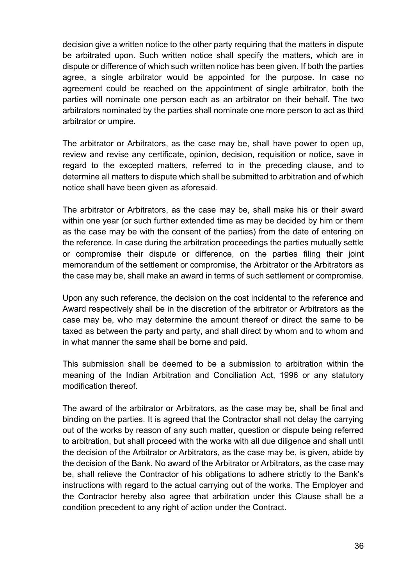decision give a written notice to the other party requiring that the matters in dispute be arbitrated upon. Such written notice shall specify the matters, which are in dispute or difference of which such written notice has been given. If both the parties agree, a single arbitrator would be appointed for the purpose. In case no agreement could be reached on the appointment of single arbitrator, both the parties will nominate one person each as an arbitrator on their behalf. The two arbitrators nominated by the parties shall nominate one more person to act as third arbitrator or umpire.

The arbitrator or Arbitrators, as the case may be, shall have power to open up, review and revise any certificate, opinion, decision, requisition or notice, save in regard to the excepted matters, referred to in the preceding clause, and to determine all matters to dispute which shall be submitted to arbitration and of which notice shall have been given as aforesaid.

The arbitrator or Arbitrators, as the case may be, shall make his or their award within one year (or such further extended time as may be decided by him or them as the case may be with the consent of the parties) from the date of entering on the reference. In case during the arbitration proceedings the parties mutually settle or compromise their dispute or difference, on the parties filing their joint memorandum of the settlement or compromise, the Arbitrator or the Arbitrators as the case may be, shall make an award in terms of such settlement or compromise.

Upon any such reference, the decision on the cost incidental to the reference and Award respectively shall be in the discretion of the arbitrator or Arbitrators as the case may be, who may determine the amount thereof or direct the same to be taxed as between the party and party, and shall direct by whom and to whom and in what manner the same shall be borne and paid.

This submission shall be deemed to be a submission to arbitration within the meaning of the Indian Arbitration and Conciliation Act, 1996 or any statutory modification thereof.

The award of the arbitrator or Arbitrators, as the case may be, shall be final and binding on the parties. It is agreed that the Contractor shall not delay the carrying out of the works by reason of any such matter, question or dispute being referred to arbitration, but shall proceed with the works with all due diligence and shall until the decision of the Arbitrator or Arbitrators, as the case may be, is given, abide by the decision of the Bank. No award of the Arbitrator or Arbitrators, as the case may be, shall relieve the Contractor of his obligations to adhere strictly to the Bank's instructions with regard to the actual carrying out of the works. The Employer and the Contractor hereby also agree that arbitration under this Clause shall be a condition precedent to any right of action under the Contract.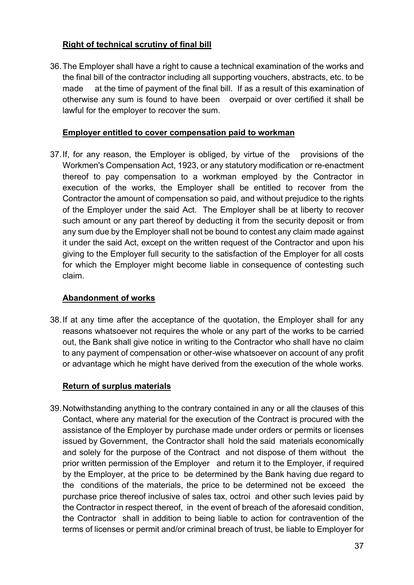#### **Right of technical scrutiny of final bill**

36.The Employer shall have a right to cause a technical examination of the works and the final bill of the contractor including all supporting vouchers, abstracts, etc. to be made at the time of payment of the final bill. If as a result of this examination of otherwise any sum is found to have been overpaid or over certified it shall be lawful for the employer to recover the sum.

#### **Employer entitled to cover compensation paid to workman**

37.If, for any reason, the Employer is obliged, by virtue of the provisions of the Workmen's Compensation Act, 1923, or any statutory modification or re-enactment thereof to pay compensation to a workman employed by the Contractor in execution of the works, the Employer shall be entitled to recover from the Contractor the amount of compensation so paid, and without prejudice to the rights of the Employer under the said Act. The Employer shall be at liberty to recover such amount or any part thereof by deducting it from the security deposit or from any sum due by the Employer shall not be bound to contest any claim made against it under the said Act, except on the written request of the Contractor and upon his giving to the Employer full security to the satisfaction of the Employer for all costs for which the Employer might become liable in consequence of contesting such claim.

#### **Abandonment of works**

38.If at any time after the acceptance of the quotation, the Employer shall for any reasons whatsoever not requires the whole or any part of the works to be carried out, the Bank shall give notice in writing to the Contractor who shall have no claim to any payment of compensation or other-wise whatsoever on account of any profit or advantage which he might have derived from the execution of the whole works.

#### **Return of surplus materials**

39.Notwithstanding anything to the contrary contained in any or all the clauses of this Contact, where any material for the execution of the Contract is procured with the assistance of the Employer by purchase made under orders or permits or licenses issued by Government, the Contractor shall hold the said materials economically and solely for the purpose of the Contract and not dispose of them without the prior written permission of the Employer and return it to the Employer, if required by the Employer, at the price to be determined by the Bank having due regard to the conditions of the materials, the price to be determined not be exceed the purchase price thereof inclusive of sales tax, octroi and other such levies paid by the Contractor in respect thereof, in the event of breach of the aforesaid condition, the Contractor shall in addition to being liable to action for contravention of the terms of licenses or permit and/or criminal breach of trust, be liable to Employer for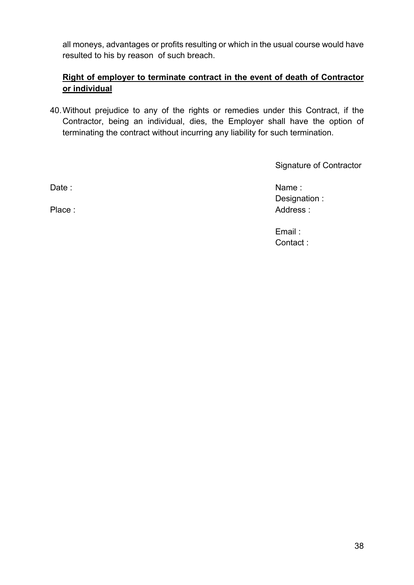all moneys, advantages or profits resulting or which in the usual course would have resulted to his by reason of such breach.

#### **Right of employer to terminate contract in the event of death of Contractor or individual**

40.Without prejudice to any of the rights or remedies under this Contract, if the Contractor, being an individual, dies, the Employer shall have the option of terminating the contract without incurring any liability for such termination.

Signature of Contractor

Date : Name : Name : Name : Name : Name : Name : Name : Name : Name : Name : Name : Name :  $\mathsf{Name} \mathsf{ }$  : Designation : Place : Address : Address : Address : Address : Address : Address : Address : Address : Address : Address : Address : Address : Address : Address : Address : Address : Address : Address : Address : Address : Address : Addr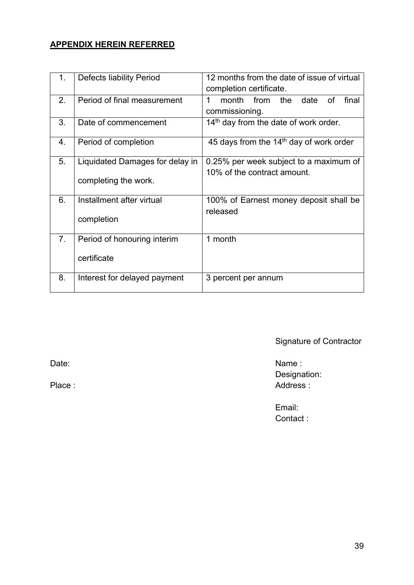## **APPENDIX HEREIN REFERRED**

| 1. | <b>Defects liability Period</b>                         | 12 months from the date of issue of virtual<br>completion certificate. |  |  |  |
|----|---------------------------------------------------------|------------------------------------------------------------------------|--|--|--|
| 2. | Period of final measurement                             | month from<br>the<br>1<br>date<br>final<br>Ωf<br>commissioning.        |  |  |  |
| 3. | Date of commencement                                    | 14 <sup>th</sup> day from the date of work order.                      |  |  |  |
| 4. | Period of completion                                    | 45 days from the 14 <sup>th</sup> day of work order                    |  |  |  |
| 5. | Liquidated Damages for delay in<br>completing the work. | 0.25% per week subject to a maximum of<br>10% of the contract amount.  |  |  |  |
| 6. | Installment after virtual<br>completion                 | 100% of Earnest money deposit shall be<br>released                     |  |  |  |
| 7. | Period of honouring interim<br>certificate              | 1 month                                                                |  |  |  |
| 8. | Interest for delayed payment                            | 3 percent per annum                                                    |  |  |  |

Signature of Contractor

Date: Name : Name : Name : Name : Name : Name : Name : Name : Name : Name : Name : Name : Name : Name : Name : Name : Name : Name : Name : Name : Name : Name : Name : Name : Name : Name : Name : Name : Name : Name : Name : Designation: Place : Address : Address : Address : Address : Address : Address : Address : Address : Address : Address : Address : Address : Address : Address : Address : Address : Address : Address : Address : Address : Address : Addr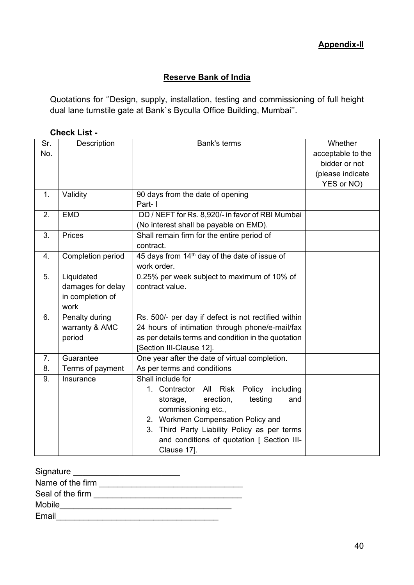#### **Appendix-II**

#### **Reserve Bank of India**

<span id="page-41-0"></span>Quotations for ''Design, supply, installation, testing and commissioning of full height dual lane turnstile gate at Bank`s Byculla Office Building, Mumbai''.

#### **Check List -**

| Sr. | Description       | <b>Bank's terms</b>                                       | Whether           |
|-----|-------------------|-----------------------------------------------------------|-------------------|
| No. |                   |                                                           | acceptable to the |
|     |                   |                                                           | bidder or not     |
|     |                   |                                                           | (please indicate  |
|     |                   |                                                           | YES or NO)        |
| 1.  | Validity          | 90 days from the date of opening                          |                   |
|     |                   | Part-1                                                    |                   |
| 2.  | <b>EMD</b>        | DD / NEFT for Rs. 8,920/- in favor of RBI Mumbai          |                   |
|     |                   | (No interest shall be payable on EMD).                    |                   |
| 3.  | Prices            | Shall remain firm for the entire period of                |                   |
|     |                   | contract.                                                 |                   |
| 4.  | Completion period | 45 days from 14 <sup>th</sup> day of the date of issue of |                   |
|     |                   | work order.                                               |                   |
| 5.  | Liquidated        | 0.25% per week subject to maximum of 10% of               |                   |
|     | damages for delay | contract value.                                           |                   |
|     | in completion of  |                                                           |                   |
|     | work              |                                                           |                   |
| 6.  | Penalty during    | Rs. 500/- per day if defect is not rectified within       |                   |
|     | warranty & AMC    | 24 hours of intimation through phone/e-mail/fax           |                   |
|     | period            | as per details terms and condition in the quotation       |                   |
|     |                   | [Section III-Clause 12].                                  |                   |
| 7.  | Guarantee         | One year after the date of virtual completion.            |                   |
| 8.  | Terms of payment  | As per terms and conditions                               |                   |
| 9.  | Insurance         | Shall include for                                         |                   |
|     |                   | All Risk Policy<br>1. Contractor<br>including             |                   |
|     |                   | testing<br>erection,<br>storage,<br>and                   |                   |
|     |                   | commissioning etc.,                                       |                   |
|     |                   | 2. Workmen Compensation Policy and                        |                   |
|     |                   | 3. Third Party Liability Policy as per terms              |                   |
|     |                   | and conditions of quotation [ Section III-                |                   |
|     |                   | Clause 17].                                               |                   |

| Signature        |  |
|------------------|--|
| Name of the firm |  |
| Seal of the firm |  |
| <b>Mobile</b>    |  |
| Email            |  |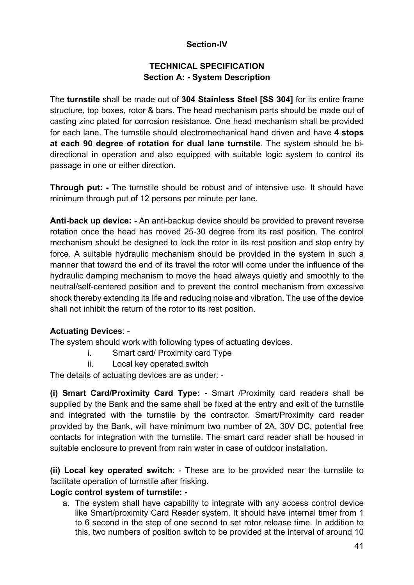#### **Section-IV**

#### **TECHNICAL SPECIFICATION Section A: - System Description**

The **turnstile** shall be made out of **304 Stainless Steel [SS 304]** for its entire frame structure, top boxes, rotor & bars. The head mechanism parts should be made out of casting zinc plated for corrosion resistance. One head mechanism shall be provided for each lane. The turnstile should electromechanical hand driven and have **4 stops at each 90 degree of rotation for dual lane turnstile**. The system should be bidirectional in operation and also equipped with suitable logic system to control its passage in one or either direction.

**Through put: -** The turnstile should be robust and of intensive use. It should have minimum through put of 12 persons per minute per lane.

**Anti-back up device: -** An anti-backup device should be provided to prevent reverse rotation once the head has moved 25-30 degree from its rest position. The control mechanism should be designed to lock the rotor in its rest position and stop entry by force. A suitable hydraulic mechanism should be provided in the system in such a manner that toward the end of its travel the rotor will come under the influence of the hydraulic damping mechanism to move the head always quietly and smoothly to the neutral/self-centered position and to prevent the control mechanism from excessive shock thereby extending its life and reducing noise and vibration. The use of the device shall not inhibit the return of the rotor to its rest position.

#### **Actuating Devices**: -

The system should work with following types of actuating devices.

- i. Smart card/ Proximity card Type
- ii. Local key operated switch

The details of actuating devices are as under: -

**(i) Smart Card/Proximity Card Type: -** Smart /Proximity card readers shall be supplied by the Bank and the same shall be fixed at the entry and exit of the turnstile and integrated with the turnstile by the contractor. Smart/Proximity card reader provided by the Bank, will have minimum two number of 2A, 30V DC, potential free contacts for integration with the turnstile. The smart card reader shall be housed in suitable enclosure to prevent from rain water in case of outdoor installation.

**(ii) Local key operated switch**: - These are to be provided near the turnstile to facilitate operation of turnstile after frisking.

#### **Logic control system of turnstile: -**

a. The system shall have capability to integrate with any access control device like Smart/proximity Card Reader system. It should have internal timer from 1 to 6 second in the step of one second to set rotor release time. In addition to this, two numbers of position switch to be provided at the interval of around 10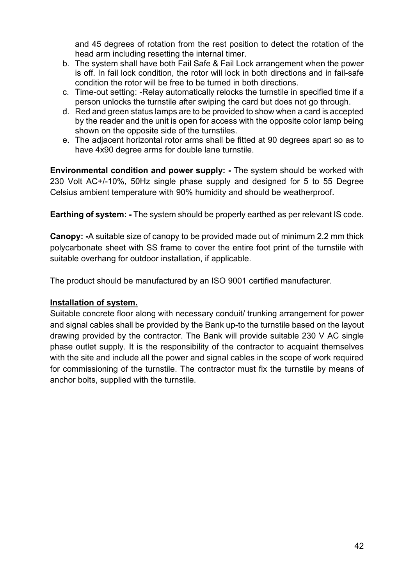and 45 degrees of rotation from the rest position to detect the rotation of the head arm including resetting the internal timer.

- b. The system shall have both Fail Safe & Fail Lock arrangement when the power is off. In fail lock condition, the rotor will lock in both directions and in fail-safe condition the rotor will be free to be turned in both directions.
- c. Time-out setting: -Relay automatically relocks the turnstile in specified time if a person unlocks the turnstile after swiping the card but does not go through.
- d. Red and green status lamps are to be provided to show when a card is accepted by the reader and the unit is open for access with the opposite color lamp being shown on the opposite side of the turnstiles.
- e. The adjacent horizontal rotor arms shall be fitted at 90 degrees apart so as to have 4x90 degree arms for double lane turnstile.

**Environmental condition and power supply: -** The system should be worked with 230 Volt AC+/-10%, 50Hz single phase supply and designed for 5 to 55 Degree Celsius ambient temperature with 90% humidity and should be weatherproof.

**Earthing of system: -** The system should be properly earthed as per relevant IS code.

**Canopy: -**A suitable size of canopy to be provided made out of minimum 2.2 mm thick polycarbonate sheet with SS frame to cover the entire foot print of the turnstile with suitable overhang for outdoor installation, if applicable.

The product should be manufactured by an ISO 9001 certified manufacturer.

#### **Installation of system.**

Suitable concrete floor along with necessary conduit/ trunking arrangement for power and signal cables shall be provided by the Bank up-to the turnstile based on the layout drawing provided by the contractor. The Bank will provide suitable 230 V AC single phase outlet supply. It is the responsibility of the contractor to acquaint themselves with the site and include all the power and signal cables in the scope of work required for commissioning of the turnstile. The contractor must fix the turnstile by means of anchor bolts, supplied with the turnstile.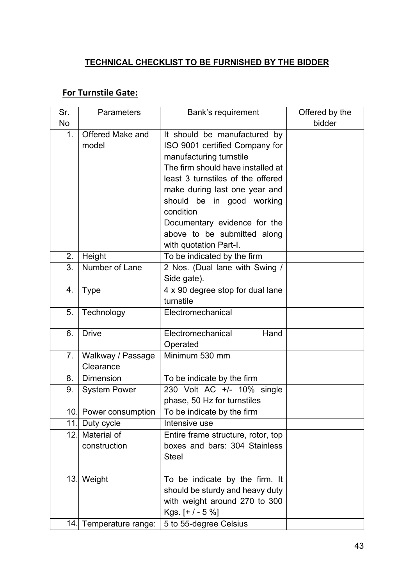## **TECHNICAL CHECKLIST TO BE FURNISHED BY THE BIDDER**

## **For Turnstile Gate:**

| Sr. | Parameters             | <b>Bank's requirement</b>          | Offered by the |
|-----|------------------------|------------------------------------|----------------|
| No  |                        |                                    | bidder         |
| 1.  | Offered Make and       | It should be manufactured by       |                |
|     | model                  | ISO 9001 certified Company for     |                |
|     |                        | manufacturing turnstile            |                |
|     |                        | The firm should have installed at  |                |
|     |                        | least 3 turnstiles of the offered  |                |
|     |                        | make during last one year and      |                |
|     |                        | should be in good working          |                |
|     |                        | condition                          |                |
|     |                        | Documentary evidence for the       |                |
|     |                        | above to be submitted along        |                |
|     |                        | with quotation Part-I.             |                |
| 2.  | Height                 | To be indicated by the firm        |                |
| 3.  | Number of Lane         | 2 Nos. (Dual lane with Swing /     |                |
|     |                        | Side gate).                        |                |
| 4.  | <b>Type</b>            | 4 x 90 degree stop for dual lane   |                |
|     |                        | turnstile                          |                |
| 5.  | Technology             | Electromechanical                  |                |
|     |                        |                                    |                |
| 6.  | <b>Drive</b>           | Electromechanical<br>Hand          |                |
|     |                        | Operated                           |                |
| 7.  | Walkway / Passage      | Minimum 530 mm                     |                |
|     | Clearance              |                                    |                |
| 8.  | <b>Dimension</b>       | To be indicate by the firm         |                |
| 9.  | <b>System Power</b>    | 230 Volt AC +/- 10% single         |                |
|     |                        | phase, 50 Hz for turnstiles        |                |
|     | 10. Power consumption  | To be indicate by the firm         |                |
| 11. | Duty cycle             | Intensive use                      |                |
| 12. | Material of            | Entire frame structure, rotor, top |                |
|     | construction           | boxes and bars: 304 Stainless      |                |
|     |                        | <b>Steel</b>                       |                |
|     |                        |                                    |                |
|     | 13. Weight             | To be indicate by the firm. It     |                |
|     |                        | should be sturdy and heavy duty    |                |
|     |                        | with weight around 270 to 300      |                |
|     |                        | Kgs. $[+/-5%]$                     |                |
|     | 14. Temperature range: | 5 to 55-degree Celsius             |                |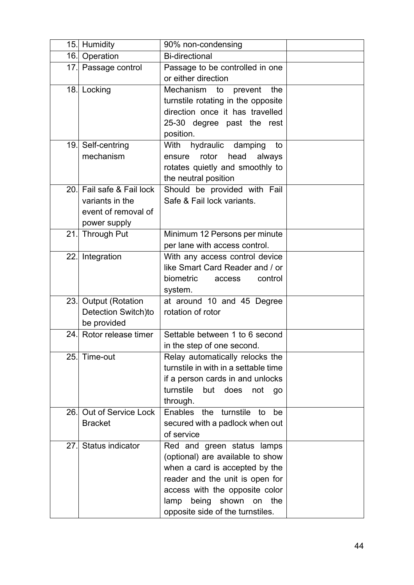|     | 15. Humidity            | 90% non-condensing                   |  |
|-----|-------------------------|--------------------------------------|--|
| 16. | Operation               | <b>Bi-directional</b>                |  |
|     | 17. Passage control     | Passage to be controlled in one      |  |
|     |                         | or either direction                  |  |
|     | 18. Locking             | Mechanism<br>the<br>to<br>prevent    |  |
|     |                         | turnstile rotating in the opposite   |  |
|     |                         | direction once it has travelled      |  |
|     |                         | 25-30 degree past the rest           |  |
|     |                         | position.                            |  |
|     | 19. Self-centring       | With hydraulic damping<br>to         |  |
|     | mechanism               | rotor<br>head<br>always<br>ensure    |  |
|     |                         | rotates quietly and smoothly to      |  |
|     |                         | the neutral position                 |  |
| 20. | Fail safe & Fail lock   | Should be provided with Fail         |  |
|     | variants in the         | Safe & Fail lock variants.           |  |
|     | event of removal of     |                                      |  |
|     | power supply            |                                      |  |
| 21. | <b>Through Put</b>      | Minimum 12 Persons per minute        |  |
|     |                         | per lane with access control.        |  |
|     | 22. Integration         | With any access control device       |  |
|     |                         | like Smart Card Reader and / or      |  |
|     |                         | biometric<br>control<br>access       |  |
|     |                         | system.                              |  |
| 23. | <b>Output (Rotation</b> | at around 10 and 45 Degree           |  |
|     | Detection Switch)to     | rotation of rotor                    |  |
|     | be provided             |                                      |  |
| 24. | Rotor release timer     | Settable between 1 to 6 second       |  |
|     |                         | in the step of one second.           |  |
| 25. | Time-out                | Relay automatically relocks the      |  |
|     |                         | turnstile in with in a settable time |  |
|     |                         | if a person cards in and unlocks     |  |
|     |                         | turnstile<br>but does<br>not<br>go   |  |
|     |                         | through.                             |  |
| 26. | Out of Service Lock     | Enables the turnstile<br>be<br>to    |  |
|     | <b>Bracket</b>          | secured with a padlock when out      |  |
|     |                         | of service                           |  |
| 27. | <b>Status indicator</b> | Red and green status lamps           |  |
|     |                         | (optional) are available to show     |  |
|     |                         | when a card is accepted by the       |  |
|     |                         | reader and the unit is open for      |  |
|     |                         | access with the opposite color       |  |
|     |                         | being<br>shown<br>the<br>lamp<br>on  |  |
|     |                         | opposite side of the turnstiles.     |  |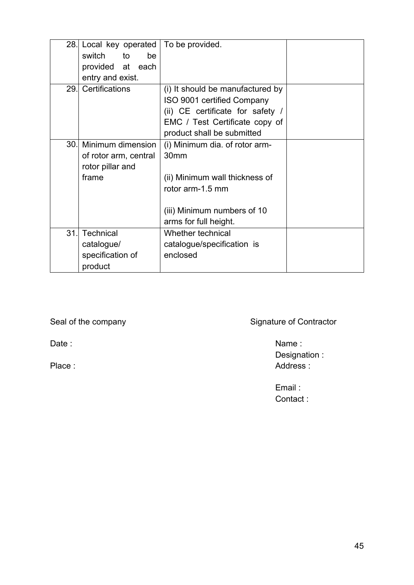|      | 28. Local key operated | To be provided.                  |  |
|------|------------------------|----------------------------------|--|
|      | switch<br>to<br>be     |                                  |  |
|      | provided at each       |                                  |  |
|      | entry and exist.       |                                  |  |
| 29.1 | Certifications         | (i) It should be manufactured by |  |
|      |                        | ISO 9001 certified Company       |  |
|      |                        | (ii) CE certificate for safety / |  |
|      |                        | EMC / Test Certificate copy of   |  |
|      |                        | product shall be submitted       |  |
| 30.  | Minimum dimension      | (i) Minimum dia. of rotor arm-   |  |
|      | of rotor arm, central  | 30 <sub>mm</sub>                 |  |
|      | rotor pillar and       |                                  |  |
|      | frame                  | (ii) Minimum wall thickness of   |  |
|      |                        | rotor arm-1.5 mm                 |  |
|      |                        |                                  |  |
|      |                        | (iii) Minimum numbers of 10      |  |
|      |                        | arms for full height.            |  |
| 31.  | Technical              | Whether technical                |  |
|      | catalogue/             | catalogue/specification is       |  |
|      | specification of       | enclosed                         |  |
|      | product                |                                  |  |

Seal of the company Signature of Contractor

Date : Name : Name : Name : Name : Name : Name : Name : Name : Name : Name : Name : Name : Name : Name : Name : Name : Name : Name : Name : Name : Name : Name : Name : Name : Name : Name : Name : Name : Name : Name : Name Designation : Place : Address :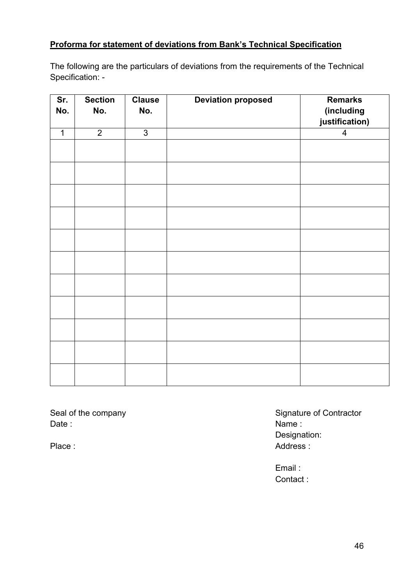### **Proforma for statement of deviations from Bank's Technical Specification**

The following are the particulars of deviations from the requirements of the Technical Specification: -

| Sr.<br>No.   | <b>Section</b><br>No. | <b>Clause</b><br>No. | <b>Deviation proposed</b> | <b>Remarks</b><br>(including<br>justification) |
|--------------|-----------------------|----------------------|---------------------------|------------------------------------------------|
| $\mathbf{1}$ | $\overline{2}$        | $\overline{3}$       |                           | $\overline{\mathbf{4}}$                        |
|              |                       |                      |                           |                                                |
|              |                       |                      |                           |                                                |
|              |                       |                      |                           |                                                |
|              |                       |                      |                           |                                                |
|              |                       |                      |                           |                                                |
|              |                       |                      |                           |                                                |
|              |                       |                      |                           |                                                |
|              |                       |                      |                           |                                                |
|              |                       |                      |                           |                                                |
|              |                       |                      |                           |                                                |
|              |                       |                      |                           |                                                |

Date : Name : Name : Name : Name : Name : Name : Name : Name : Name : Name : Name : Name : Name : Name : Name :  $\mathsf{N}$ 

Seal of the company Seal of the company Seal of the company Designation: Place : Address : Address : Address : Address : Address : Address : Address : Address : Address : Address : Address : Address : Address : Address : Address : Address : Address : Address : Address : Address : Address : Addr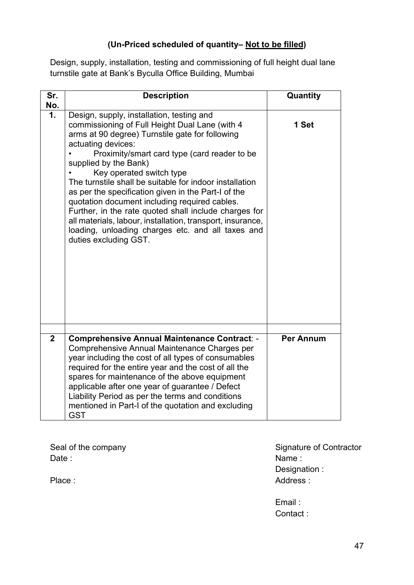## **(Un-Priced scheduled of quantity– Not to be filled)**

Design, supply, installation, testing and commissioning of full height dual lane turnstile gate at Bank's Byculla Office Building, Mumbai

| Sr.<br>No.     | <b>Description</b>                                                                                                                                                                                                                                                                                                                                                                                                                                                                                                                                                                                                                                | Quantity         |
|----------------|---------------------------------------------------------------------------------------------------------------------------------------------------------------------------------------------------------------------------------------------------------------------------------------------------------------------------------------------------------------------------------------------------------------------------------------------------------------------------------------------------------------------------------------------------------------------------------------------------------------------------------------------------|------------------|
| 1.             | Design, supply, installation, testing and<br>commissioning of Full Height Dual Lane (with 4<br>arms at 90 degree) Turnstile gate for following<br>actuating devices:<br>Proximity/smart card type (card reader to be<br>supplied by the Bank)<br>Key operated switch type<br>The turnstile shall be suitable for indoor installation<br>as per the specification given in the Part-I of the<br>quotation document including required cables.<br>Further, in the rate quoted shall include charges for<br>all materials, labour, installation, transport, insurance,<br>loading, unloading charges etc. and all taxes and<br>duties excluding GST. | 1 Set            |
|                |                                                                                                                                                                                                                                                                                                                                                                                                                                                                                                                                                                                                                                                   |                  |
| $\overline{2}$ | <b>Comprehensive Annual Maintenance Contract: -</b><br>Comprehensive Annual Maintenance Charges per<br>year including the cost of all types of consumables<br>required for the entire year and the cost of all the<br>spares for maintenance of the above equipment<br>applicable after one year of guarantee / Defect<br>Liability Period as per the terms and conditions<br>mentioned in Part-I of the quotation and excluding<br><b>GST</b>                                                                                                                                                                                                    | <b>Per Annum</b> |

Date : Name : Name : Name : Name : Name : Name : Name : Name : Name : Name : Name : Name : Name : Name : Name :  $\mathsf{N}$ 

Seal of the company Signature of Contractor<br>Date : Name : Designation : Place : Address : Address : Address : Address : Address : Address : Address : Address : Address : Address : Address : Address : Address : Address : Address : Address : Address : Address : Address : Address : Address : Addr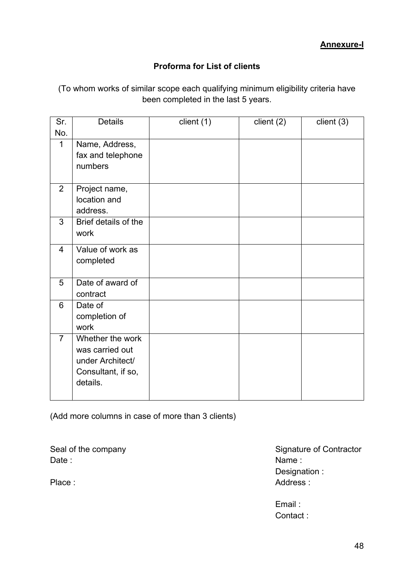### **Proforma for List of clients**

<span id="page-49-0"></span>(To whom works of similar scope each qualifying minimum eligibility criteria have been completed in the last 5 years.

| Sr.            | <b>Details</b>                                                                            | client (1) | client (2) | client $(3)$ |
|----------------|-------------------------------------------------------------------------------------------|------------|------------|--------------|
| No.            |                                                                                           |            |            |              |
| $\mathbf{1}$   | Name, Address,<br>fax and telephone<br>numbers                                            |            |            |              |
| $\overline{2}$ | Project name,<br>location and<br>address.                                                 |            |            |              |
| 3              | Brief details of the<br>work                                                              |            |            |              |
| 4              | Value of work as<br>completed                                                             |            |            |              |
| 5              | Date of award of<br>contract                                                              |            |            |              |
| 6              | Date of<br>completion of<br>work                                                          |            |            |              |
| $\overline{7}$ | Whether the work<br>was carried out<br>under Architect/<br>Consultant, if so,<br>details. |            |            |              |

(Add more columns in case of more than 3 clients)

Date : Name : Name : Name : Name : Name : Name : Name : Name : Name : Name : Name : Name :  $\mathsf{Name} \mathsf{ }$  :

Seal of the company Seal of the company Seal of the company Designation : Place : Address : Address : Address : Address : Address : Address : Address : Address : Address : Address : Address : Address : Address : Address : Address : Address : Address : Address : Address : Address : Address : Addr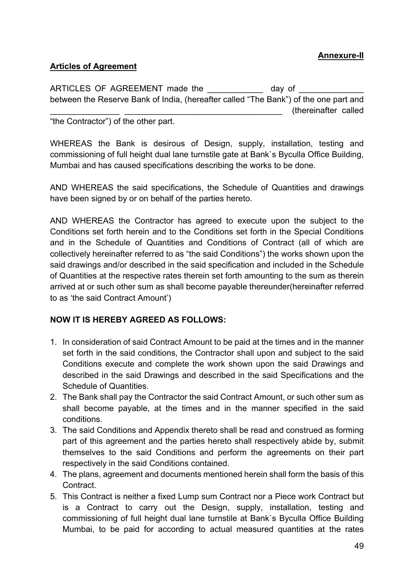#### **Annexure-II**

#### <span id="page-50-0"></span>**Articles of Agreement**

| ARTICLES OF AGREEMENT made the                                                       | day of               |  |
|--------------------------------------------------------------------------------------|----------------------|--|
| between the Reserve Bank of India, (hereafter called "The Bank") of the one part and |                      |  |
|                                                                                      | (thereinafter called |  |
| "the Contractor") of the other nart                                                  |                      |  |

'the Contractor $\degree$ ) of the other part.

WHEREAS the Bank is desirous of Design, supply, installation, testing and commissioning of full height dual lane turnstile gate at Bank`s Byculla Office Building, Mumbai and has caused specifications describing the works to be done.

AND WHEREAS the said specifications, the Schedule of Quantities and drawings have been signed by or on behalf of the parties hereto.

AND WHEREAS the Contractor has agreed to execute upon the subject to the Conditions set forth herein and to the Conditions set forth in the Special Conditions and in the Schedule of Quantities and Conditions of Contract (all of which are collectively hereinafter referred to as "the said Conditions") the works shown upon the said drawings and/or described in the said specification and included in the Schedule of Quantities at the respective rates therein set forth amounting to the sum as therein arrived at or such other sum as shall become payable thereunder(hereinafter referred to as 'the said Contract Amount')

#### **NOW IT IS HEREBY AGREED AS FOLLOWS:**

- 1. In consideration of said Contract Amount to be paid at the times and in the manner set forth in the said conditions, the Contractor shall upon and subject to the said Conditions execute and complete the work shown upon the said Drawings and described in the said Drawings and described in the said Specifications and the Schedule of Quantities.
- 2. The Bank shall pay the Contractor the said Contract Amount, or such other sum as shall become payable, at the times and in the manner specified in the said conditions.
- 3. The said Conditions and Appendix thereto shall be read and construed as forming part of this agreement and the parties hereto shall respectively abide by, submit themselves to the said Conditions and perform the agreements on their part respectively in the said Conditions contained.
- 4. The plans, agreement and documents mentioned herein shall form the basis of this **Contract**
- 5. This Contract is neither a fixed Lump sum Contract nor a Piece work Contract but is a Contract to carry out the Design, supply, installation, testing and commissioning of full height dual lane turnstile at Bank`s Byculla Office Building Mumbai, to be paid for according to actual measured quantities at the rates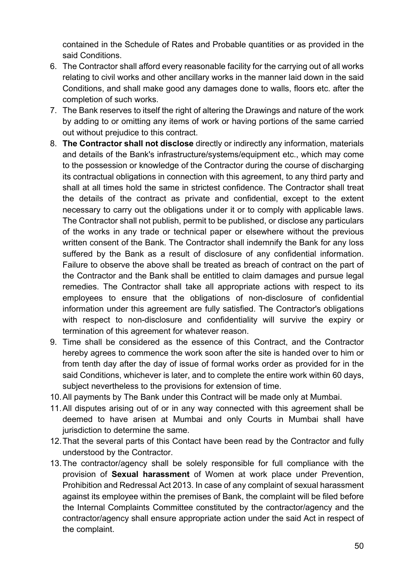contained in the Schedule of Rates and Probable quantities or as provided in the said Conditions.

- 6. The Contractor shall afford every reasonable facility for the carrying out of all works relating to civil works and other ancillary works in the manner laid down in the said Conditions, and shall make good any damages done to walls, floors etc. after the completion of such works.
- 7. The Bank reserves to itself the right of altering the Drawings and nature of the work by adding to or omitting any items of work or having portions of the same carried out without prejudice to this contract.
- 8. **The Contractor shall not disclose** directly or indirectly any information, materials and details of the Bank's infrastructure/systems/equipment etc., which may come to the possession or knowledge of the Contractor during the course of discharging its contractual obligations in connection with this agreement, to any third party and shall at all times hold the same in strictest confidence. The Contractor shall treat the details of the contract as private and confidential, except to the extent necessary to carry out the obligations under it or to comply with applicable laws. The Contractor shall not publish, permit to be published, or disclose any particulars of the works in any trade or technical paper or elsewhere without the previous written consent of the Bank. The Contractor shall indemnify the Bank for any loss suffered by the Bank as a result of disclosure of any confidential information. Failure to observe the above shall be treated as breach of contract on the part of the Contractor and the Bank shall be entitled to claim damages and pursue legal remedies. The Contractor shall take all appropriate actions with respect to its employees to ensure that the obligations of non-disclosure of confidential information under this agreement are fully satisfied. The Contractor's obligations with respect to non-disclosure and confidentiality will survive the expiry or termination of this agreement for whatever reason.
- 9. Time shall be considered as the essence of this Contract, and the Contractor hereby agrees to commence the work soon after the site is handed over to him or from tenth day after the day of issue of formal works order as provided for in the said Conditions, whichever is later, and to complete the entire work within 60 days, subject nevertheless to the provisions for extension of time.
- 10.All payments by The Bank under this Contract will be made only at Mumbai.
- 11.All disputes arising out of or in any way connected with this agreement shall be deemed to have arisen at Mumbai and only Courts in Mumbai shall have jurisdiction to determine the same.
- 12.That the several parts of this Contact have been read by the Contractor and fully understood by the Contractor.
- 13.The contractor/agency shall be solely responsible for full compliance with the provision of **Sexual harassment** of Women at work place under Prevention, Prohibition and Redressal Act 2013. In case of any complaint of sexual harassment against its employee within the premises of Bank, the complaint will be filed before the Internal Complaints Committee constituted by the contractor/agency and the contractor/agency shall ensure appropriate action under the said Act in respect of the complaint.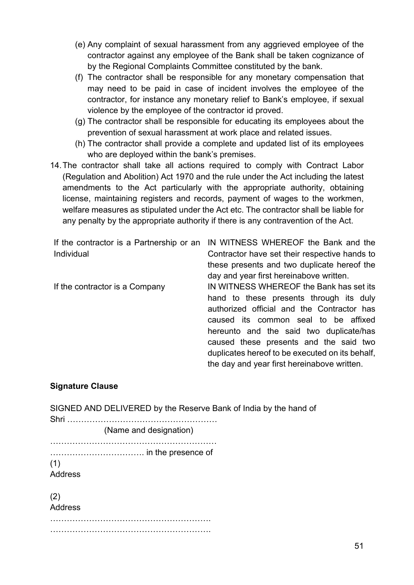- (e) Any complaint of sexual harassment from any aggrieved employee of the contractor against any employee of the Bank shall be taken cognizance of by the Regional Complaints Committee constituted by the bank.
- (f) The contractor shall be responsible for any monetary compensation that may need to be paid in case of incident involves the employee of the contractor, for instance any monetary relief to Bank's employee, if sexual violence by the employee of the contractor id proved.
- (g) The contractor shall be responsible for educating its employees about the prevention of sexual harassment at work place and related issues.
- (h) The contractor shall provide a complete and updated list of its employees who are deployed within the bank's premises.
- 14.The contractor shall take all actions required to comply with Contract Labor (Regulation and Abolition) Act 1970 and the rule under the Act including the latest amendments to the Act particularly with the appropriate authority, obtaining license, maintaining registers and records, payment of wages to the workmen, welfare measures as stipulated under the Act etc. The contractor shall be liable for any penalty by the appropriate authority if there is any contravention of the Act.

| If the contractor is a Partnership or an | IN WITNESS WHEREOF the Bank and the             |
|------------------------------------------|-------------------------------------------------|
| Individual                               | Contractor have set their respective hands to   |
|                                          | these presents and two duplicate hereof the     |
|                                          | day and year first hereinabove written.         |
| If the contractor is a Company           | IN WITNESS WHEREOF the Bank has set its         |
|                                          | hand to these presents through its duly         |
|                                          | authorized official and the Contractor has      |
|                                          | caused its common seal to be affixed            |
|                                          | hereunto and the said two duplicate/has         |
|                                          | caused these presents and the said two          |
|                                          | duplicates hereof to be executed on its behalf, |
|                                          | the day and year first hereinabove written.     |

#### **Signature Clause**

| SIGNED AND DELIVERED by the Reserve Bank of India by the hand of<br>Shri |
|--------------------------------------------------------------------------|
| (Name and designation)                                                   |
|                                                                          |
| (1)                                                                      |
| Address                                                                  |
| (2)                                                                      |
| <b>Address</b>                                                           |
|                                                                          |
|                                                                          |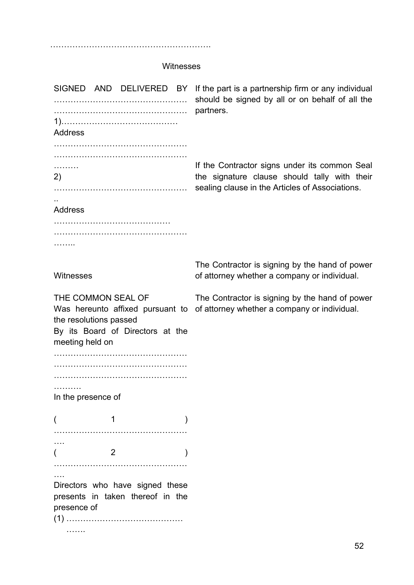………………………………………………….

#### Witnesses

SIGNED AND DELIVERED BY ………………………………………… ………………………………………… 1)…………………………………… Address ……………………………………………… ………………………………………… ………… 2) ………………………………………… .. Address …………………………………………… ………………………………………… ………… **Witnesses** THE COMMON SEAL OF Was hereunto affixed pursuant to of attorney whether a company or individual.the resolutions passed By its Board of Directors at the meeting held on ………………………………………… ………………………………………… ………………………………………… ………. In the presence of  $($  1 ) ………………………………………… ….  $($  2 ) ………………………………………… …. Directors who have signed these presents in taken thereof in the presence of (1) …………………………………… ……. If the part is a partnership firm or any individual should be signed by all or on behalf of all the partners. If the Contractor signs under its common Seal the signature clause should tally with their sealing clause in the Articles of Associations. The Contractor is signing by the hand of power of attorney whether a company or individual. The Contractor is signing by the hand of power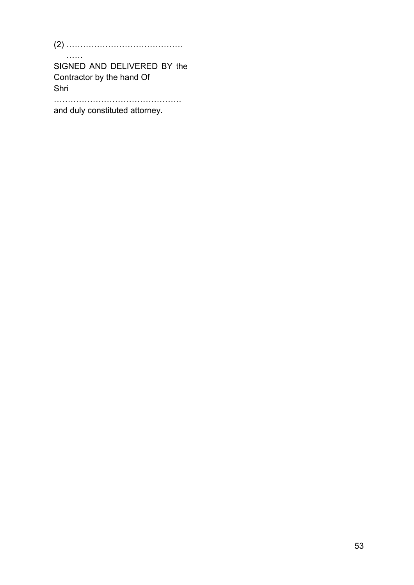(2) …………………………………… ……

SIGNED AND DELIVERED BY the Contractor by the hand Of Shri

……………………………………….

and duly constituted attorney.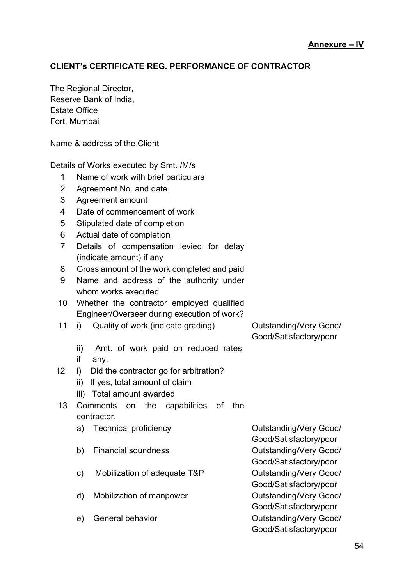#### **CLIENT's CERTIFICATE REG. PERFORMANCE OF CONTRACTOR**

The Regional Director, Reserve Bank of India, Estate Office Fort, Mumbai

Name & address of the Client

Details of Works executed by Smt. /M/s

- 1 Name of work with brief particulars
- 2 Agreement No. and date
- 3 Agreement amount
- 4 Date of commencement of work
- 5 Stipulated date of completion
- 6 Actual date of completion
- 7 Details of compensation levied for delay (indicate amount) if any
- 8 Gross amount of the work completed and paid
- 9 Name and address of the authority under whom works executed
- 10 Whether the contractor employed qualified Engineer/Overseer during execution of work?
- 11 i) Quality of work (indicate grading) Outstanding/Very Good/

Good/Satisfactory/poor

- ii) Amt. of work paid on reduced rates,
- if any.
- 12 i) Did the contractor go for arbitration?
	- ii) If yes, total amount of claim
	- iii) Total amount awarded
- 13 Comments on the capabilities of the contractor.
	- a) Technical proficiency Cutstanding/Very Good/
	- b) Financial soundness **Outstanding/Very Good/**
	- c) Mobilization of adequate T&P Outstanding/Very Good/
	- d) Mobilization of manpower **Outstanding/Very Good/**
	-

Good/Satisfactory/poor Good/Satisfactory/poor Good/Satisfactory/poor Good/Satisfactory/poor e) General behavior Christianding Cutstanding/Very Good/ Good/Satisfactory/poor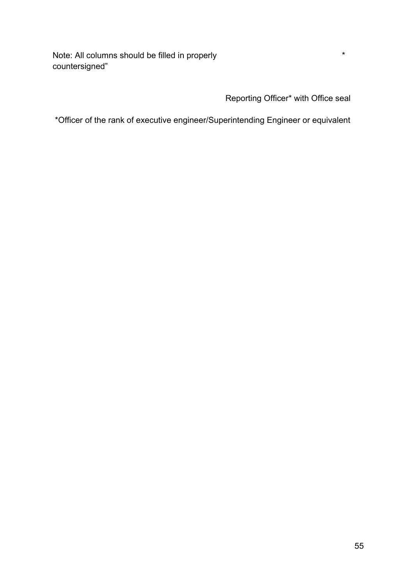Note: All columns should be filled in properly  $*$ countersigned"

Reporting Officer\* with Office seal

\*Officer of the rank of executive engineer/Superintending Engineer or equivalent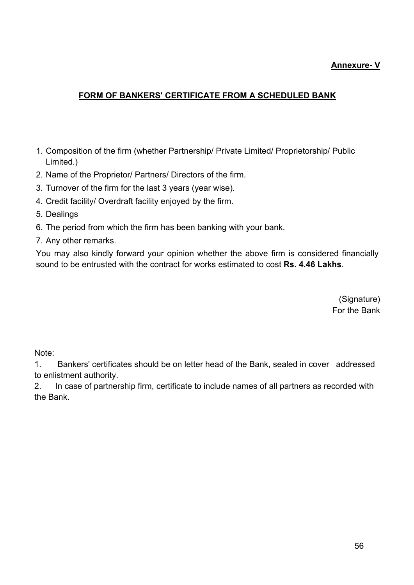#### **Annexure- V**

#### **FORM OF BANKERS' CERTIFICATE FROM A SCHEDULED BANK**

- 1. Composition of the firm (whether Partnership/ Private Limited/ Proprietorship/ Public Limited.)
- 2. Name of the Proprietor/ Partners/ Directors of the firm.
- 3. Turnover of the firm for the last 3 years (year wise).
- 4. Credit facility/ Overdraft facility enjoyed by the firm.
- 5. Dealings
- 6. The period from which the firm has been banking with your bank.
- 7. Any other remarks.

You may also kindly forward your opinion whether the above firm is considered financially sound to be entrusted with the contract for works estimated to cost **Rs. 4.46 Lakhs**.

> (Signature) For the Bank

Note:

1. Bankers' certificates should be on letter head of the Bank, sealed in cover addressed to enlistment authority.

2. In case of partnership firm, certificate to include names of all partners as recorded with the Bank.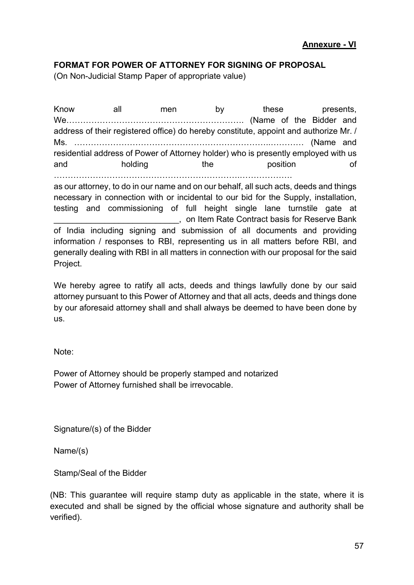#### **FORMAT FOR POWER OF ATTORNEY FOR SIGNING OF PROPOSAL**

(On Non-Judicial Stamp Paper of appropriate value)

Know all men by these presents, We………………………………………………………. (Name of the Bidder and address of their registered office) do hereby constitute, appoint and authorize Mr. / Ms. ……………………………………………………………..………… (Name and residential address of Power of Attorney holder) who is presently employed with us and holding the position of ………………………………………………………….……………….

as our attorney, to do in our name and on our behalf, all such acts, deeds and things necessary in connection with or incidental to our bid for the Supply, installation, testing and commissioning of full height single lane turnstile gate at \_\_\_\_\_\_\_\_\_\_\_\_\_\_\_\_\_\_\_\_\_\_\_\_\_\_\_, on Item Rate Contract basis for Reserve Bank of India including signing and submission of all documents and providing information / responses to RBI, representing us in all matters before RBI, and generally dealing with RBI in all matters in connection with our proposal for the said Project.

We hereby agree to ratify all acts, deeds and things lawfully done by our said attorney pursuant to this Power of Attorney and that all acts, deeds and things done by our aforesaid attorney shall and shall always be deemed to have been done by us.

Note:

Power of Attorney should be properly stamped and notarized Power of Attorney furnished shall be irrevocable.

Signature/(s) of the Bidder

Name/(s)

Stamp/Seal of the Bidder

(NB: This guarantee will require stamp duty as applicable in the state, where it is executed and shall be signed by the official whose signature and authority shall be verified).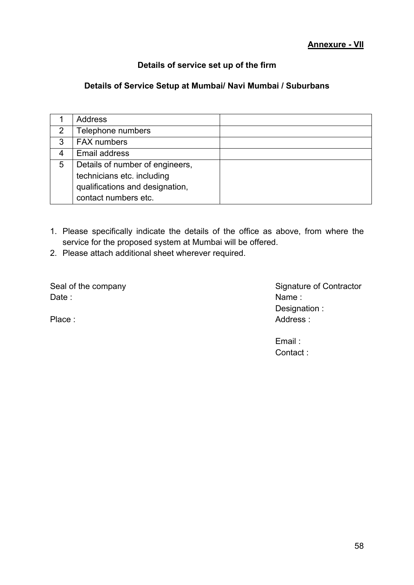#### **Details of service set up of the firm**

#### <span id="page-59-0"></span>**Details of Service Setup at Mumbai/ Navi Mumbai / Suburbans**

|   | <b>Address</b>                  |  |
|---|---------------------------------|--|
| 2 | Telephone numbers               |  |
| 3 | <b>FAX numbers</b>              |  |
|   | <b>Email address</b>            |  |
| 5 | Details of number of engineers, |  |
|   | technicians etc. including      |  |
|   | qualifications and designation, |  |
|   | contact numbers etc.            |  |

- 1. Please specifically indicate the details of the office as above, from where the service for the proposed system at Mumbai will be offered.
- 2. Please attach additional sheet wherever required.

Date : Name : Name : Name : Name : Name : Name : Name : Name : Name : Name : Name : Name : Name : Name : Name :  $\mathsf{N}$ 

Seal of the company Seal of the company Seal of the company Designation : Place : Address : Address : Address : Address : Address : Address : Address : Address : Address : Address : Address : Address : Address : Address : Address : Address : Address : Address : Address : Address : Address : Addr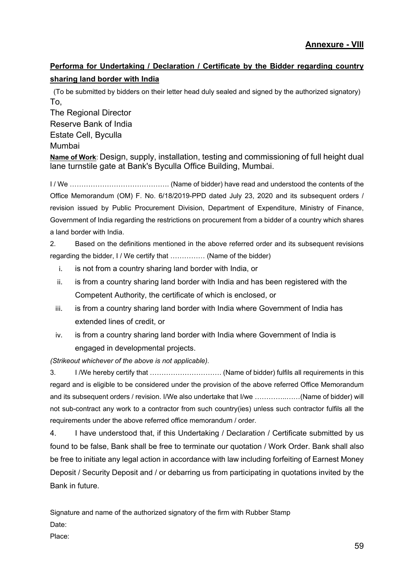### **Performa for Undertaking / Declaration / Certificate by the Bidder regarding country sharing land border with India**

(To be submitted by bidders on their letter head duly sealed and signed by the authorized signatory) To,

The Regional Director Reserve Bank of India Estate Cell, Byculla Mumbai

**Name of Work**: Design, supply, installation, testing and commissioning of full height dual lane turnstile gate at Bank's Byculla Office Building, Mumbai.

I / We ……………………………………. (Name of bidder) have read and understood the contents of the Office Memorandum (OM) F. No. 6/18/2019-PPD dated July 23, 2020 and its subsequent orders / revision issued by Public Procurement Division, Department of Expenditure, Ministry of Finance, Government of India regarding the restrictions on procurement from a bidder of a country which shares a land border with India.

2. Based on the definitions mentioned in the above referred order and its subsequent revisions regarding the bidder, I / We certify that …………… (Name of the bidder)

- i. is not from a country sharing land border with India, or
- ii. is from a country sharing land border with India and has been registered with the Competent Authority, the certificate of which is enclosed, or
- iii. is from a country sharing land border with India where Government of India has extended lines of credit, or
- iv. is from a country sharing land border with India where Government of India is engaged in developmental projects.

*(Strikeout whichever of the above is not applicable).* 

3. I /We hereby certify that …………………………. (Name of bidder) fulfils all requirements in this regard and is eligible to be considered under the provision of the above referred Office Memorandum and its subsequent orders / revision. I/We also undertake that I/we …………..……(Name of bidder) will not sub-contract any work to a contractor from such country(ies) unless such contractor fulfils all the requirements under the above referred office memorandum / order.

4. I have understood that, if this Undertaking / Declaration / Certificate submitted by us found to be false, Bank shall be free to terminate our quotation / Work Order. Bank shall also be free to initiate any legal action in accordance with law including forfeiting of Earnest Money Deposit / Security Deposit and / or debarring us from participating in quotations invited by the Bank in future.

Signature and name of the authorized signatory of the firm with Rubber Stamp Date:

Place: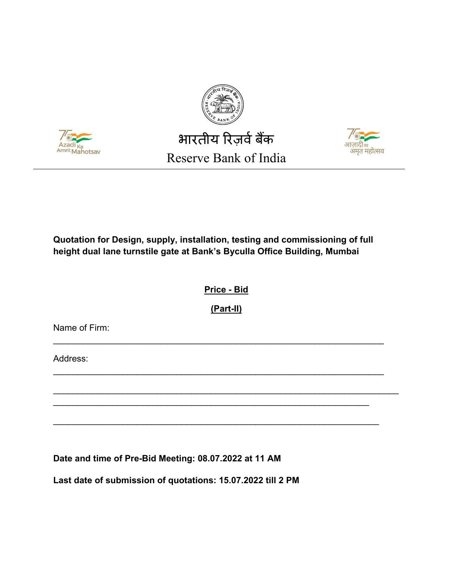



# भारतीय रिज़र्व बैंक Reserve Bank of India



#### **Quotation for Design, supply, installation, testing and commissioning of full height dual lane turnstile gate at Bank's Byculla Office Building, Mumbai**

**Price - Bid** 

**(Part-II)**

\_\_\_\_\_\_\_\_\_\_\_\_\_\_\_\_\_\_\_\_\_\_\_\_\_\_\_\_\_\_\_\_\_\_\_\_\_\_\_\_\_\_\_\_\_\_\_\_\_\_\_\_\_\_\_\_\_\_\_\_\_\_\_\_\_\_\_

\_\_\_\_\_\_\_\_\_\_\_\_\_\_\_\_\_\_\_\_\_\_\_\_\_\_\_\_\_\_\_\_\_\_\_\_\_\_\_\_\_\_\_\_\_\_\_\_\_\_\_\_\_\_\_\_\_\_\_\_\_\_\_\_\_\_\_

\_\_\_\_\_\_\_\_\_\_\_\_\_\_\_\_\_\_\_\_\_\_\_\_\_\_\_\_\_\_\_\_\_\_\_\_\_\_\_\_\_\_\_\_\_\_\_\_\_\_\_\_\_\_\_\_\_\_\_\_\_\_\_\_

\_\_\_\_\_\_\_\_\_\_\_\_\_\_\_\_\_\_\_\_\_\_\_\_\_\_\_\_\_\_\_\_\_\_\_\_\_\_\_\_\_\_\_\_\_\_\_\_\_\_\_\_\_\_\_\_\_\_\_\_\_\_\_\_\_\_

\_\_\_\_\_\_\_\_\_\_\_\_\_\_\_\_\_\_\_\_\_\_\_\_\_\_\_\_\_\_\_\_\_\_\_\_\_\_\_\_\_\_\_\_\_\_\_\_\_\_\_\_\_\_\_\_\_\_\_\_\_\_\_\_\_\_\_\_\_\_

Name of Firm:

Address:

**Date and time of Pre-Bid Meeting: 08.07.2022 at 11 AM**

**Last date of submission of quotations: 15.07.2022 till 2 PM**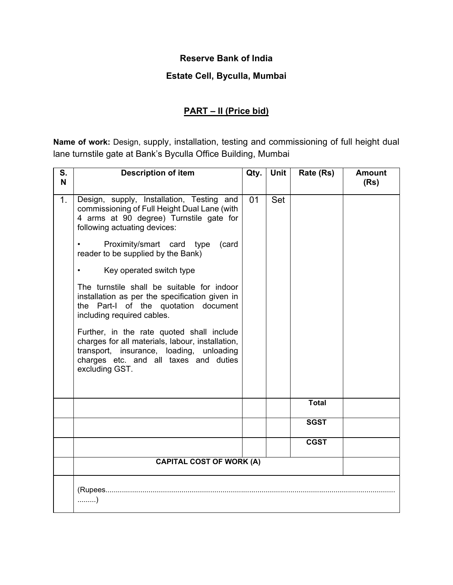#### **Reserve Bank of India**

#### **Estate Cell, Byculla, Mumbai**

## **PART – II (Price bid)**

**Name of work:** Design, supply, installation, testing and commissioning of full height dual lane turnstile gate at Bank's Byculla Office Building, Mumbai

| S.<br>N        | <b>Description of item</b>                                                                                                                                                                                                                                                                                                                                                                                                                                                                                                                                                                                   | Qty. | Unit | Rate (Rs)    | <b>Amount</b><br>(Rs) |
|----------------|--------------------------------------------------------------------------------------------------------------------------------------------------------------------------------------------------------------------------------------------------------------------------------------------------------------------------------------------------------------------------------------------------------------------------------------------------------------------------------------------------------------------------------------------------------------------------------------------------------------|------|------|--------------|-----------------------|
| 1 <sub>1</sub> | Design, supply, Installation, Testing and<br>commissioning of Full Height Dual Lane (with<br>4 arms at 90 degree) Turnstile gate for<br>following actuating devices:<br>Proximity/smart card type<br>(card<br>reader to be supplied by the Bank)<br>Key operated switch type<br>$\bullet$<br>The turnstile shall be suitable for indoor<br>installation as per the specification given in<br>the Part-I of the quotation document<br>including required cables.<br>Further, in the rate quoted shall include<br>charges for all materials, labour, installation,<br>transport, insurance, loading, unloading | 01   | Set  |              |                       |
|                | charges etc. and all taxes and duties<br>excluding GST.                                                                                                                                                                                                                                                                                                                                                                                                                                                                                                                                                      |      |      |              |                       |
|                |                                                                                                                                                                                                                                                                                                                                                                                                                                                                                                                                                                                                              |      |      | <b>Total</b> |                       |
|                |                                                                                                                                                                                                                                                                                                                                                                                                                                                                                                                                                                                                              |      |      | <b>SGST</b>  |                       |
|                |                                                                                                                                                                                                                                                                                                                                                                                                                                                                                                                                                                                                              |      |      | <b>CGST</b>  |                       |
|                | <b>CAPITAL COST OF WORK (A)</b>                                                                                                                                                                                                                                                                                                                                                                                                                                                                                                                                                                              |      |      |              |                       |
|                | )                                                                                                                                                                                                                                                                                                                                                                                                                                                                                                                                                                                                            |      |      |              |                       |